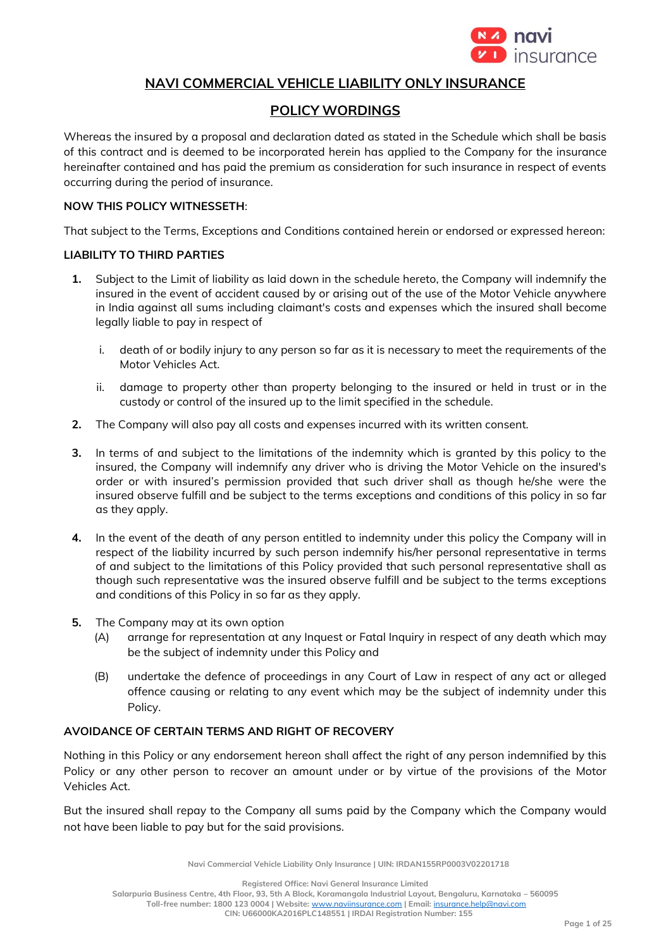

# **NAVI COMMERCIAL VEHICLE LIABILITY ONLY INSURANCE**

# **POLICY WORDINGS**

Whereas the insured by a proposal and declaration dated as stated in the Schedule which shall be basis of this contract and is deemed to be incorporated herein has applied to the Company for the insurance hereinafter contained and has paid the premium as consideration for such insurance in respect of events occurring during the period of insurance.

#### **NOW THIS POLICY WITNESSETH**:

That subject to the Terms, Exceptions and Conditions contained herein or endorsed or expressed hereon:

#### **LIABILITY TO THIRD PARTIES**

- **1.** Subject to the Limit of liability as laid down in the schedule hereto, the Company will indemnify the insured in the event of accident caused by or arising out of the use of the Motor Vehicle anywhere in India against all sums including claimant's costs and expenses which the insured shall become legally liable to pay in respect of
	- i. death of or bodily injury to any person so far as it is necessary to meet the requirements of the Motor Vehicles Act.
	- ii. damage to property other than property belonging to the insured or held in trust or in the custody or control of the insured up to the limit specified in the schedule.
- **2.** The Company will also pay all costs and expenses incurred with its written consent.
- **3.** In terms of and subject to the limitations of the indemnity which is granted by this policy to the insured, the Company will indemnify any driver who is driving the Motor Vehicle on the insured's order or with insured's permission provided that such driver shall as though he/she were the insured observe fulfill and be subject to the terms exceptions and conditions of this policy in so far as they apply.
- **4.** In the event of the death of any person entitled to indemnity under this policy the Company will in respect of the liability incurred by such person indemnify his/her personal representative in terms of and subject to the limitations of this Policy provided that such personal representative shall as though such representative was the insured observe fulfill and be subject to the terms exceptions and conditions of this Policy in so far as they apply.
- **5.** The Company may at its own option
	- (A) arrange for representation at any Inquest or Fatal Inquiry in respect of any death which may be the subject of indemnity under this Policy and
	- (B) undertake the defence of proceedings in any Court of Law in respect of any act or alleged offence causing or relating to any event which may be the subject of indemnity under this Policy.

## **AVOIDANCE OF CERTAIN TERMS AND RIGHT OF RECOVERY**

Nothing in this Policy or any endorsement hereon shall affect the right of any person indemnified by this Policy or any other person to recover an amount under or by virtue of the provisions of the Motor Vehicles Act.

But the insured shall repay to the Company all sums paid by the Company which the Company would not have been liable to pay but for the said provisions.

**Navi Commercial Vehicle Liability Only Insurance | UIN: IRDAN155RP0003V02201718**

**Registered Office: Navi General Insurance Limited**

**Salarpuria Business Centre, 4th Floor, 93, 5th A Block, Koramangala Industrial Layout, Bengaluru, Karnataka – 560095**

**Toll-free number: 1800 123 0004 | Website:** [www.naviinsurance.com](http://www.naviinsurance.com/) **| Email:** [insurance.help@navi.com](mailto:insurance.help@navi.com)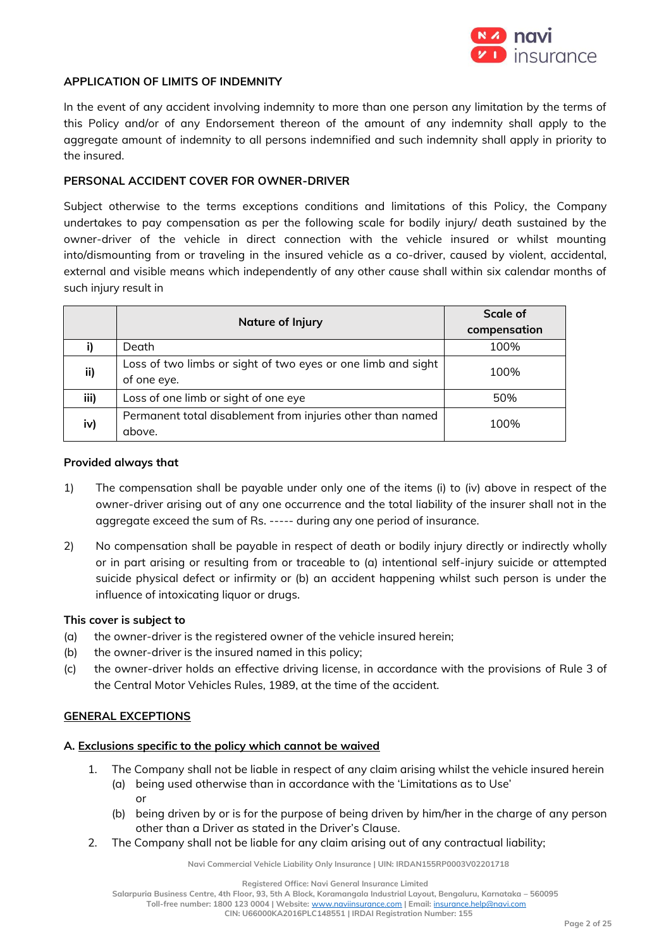

#### **APPLICATION OF LIMITS OF INDEMNITY**

In the event of any accident involving indemnity to more than one person any limitation by the terms of this Policy and/or of any Endorsement thereon of the amount of any indemnity shall apply to the aggregate amount of indemnity to all persons indemnified and such indemnity shall apply in priority to the insured.

#### **PERSONAL ACCIDENT COVER FOR OWNER-DRIVER**

Subject otherwise to the terms exceptions conditions and limitations of this Policy, the Company undertakes to pay compensation as per the following scale for bodily injury/ death sustained by the owner-driver of the vehicle in direct connection with the vehicle insured or whilst mounting into/dismounting from or traveling in the insured vehicle as a co-driver, caused by violent, accidental, external and visible means which independently of any other cause shall within six calendar months of such injury result in

|      | <b>Nature of Injury</b>                                      | <b>Scale of</b> |
|------|--------------------------------------------------------------|-----------------|
|      |                                                              | compensation    |
|      | Death                                                        | 100%            |
| ii)  | Loss of two limbs or sight of two eyes or one limb and sight | 100%            |
|      | of one eye.                                                  |                 |
| iii) | Loss of one limb or sight of one eye                         | 50%             |
| iv)  | Permanent total disablement from injuries other than named   | 100%            |
|      | above.                                                       |                 |

#### **Provided always that**

- 1) The compensation shall be payable under only one of the items (i) to (iv) above in respect of the owner-driver arising out of any one occurrence and the total liability of the insurer shall not in the aggregate exceed the sum of Rs. ----- during any one period of insurance.
- 2) No compensation shall be payable in respect of death or bodily injury directly or indirectly wholly or in part arising or resulting from or traceable to (a) intentional self-injury suicide or attempted suicide physical defect or infirmity or (b) an accident happening whilst such person is under the influence of intoxicating liquor or drugs.

#### **This cover is subject to**

- (a) the owner-driver is the registered owner of the vehicle insured herein;
- (b) the owner-driver is the insured named in this policy;
- (c) the owner-driver holds an effective driving license, in accordance with the provisions of Rule 3 of the Central Motor Vehicles Rules, 1989, at the time of the accident.

#### **GENERAL EXCEPTIONS**

## **A. Exclusions specific to the policy which cannot be waived**

- 1. The Company shall not be liable in respect of any claim arising whilst the vehicle insured herein (a) being used otherwise than in accordance with the 'Limitations as to Use' or
	- (b) being driven by or is for the purpose of being driven by him/her in the charge of any person other than a Driver as stated in the Driver's Clause.
- 2. The Company shall not be liable for any claim arising out of any contractual liability;

**Navi Commercial Vehicle Liability Only Insurance | UIN: IRDAN155RP0003V02201718**

**Salarpuria Business Centre, 4th Floor, 93, 5th A Block, Koramangala Industrial Layout, Bengaluru, Karnataka – 560095**

**Toll-free number: 1800 123 0004 | Website:** [www.naviinsurance.com](http://www.naviinsurance.com/) **| Email:** [insurance.help@navi.com](mailto:insurance.help@navi.com)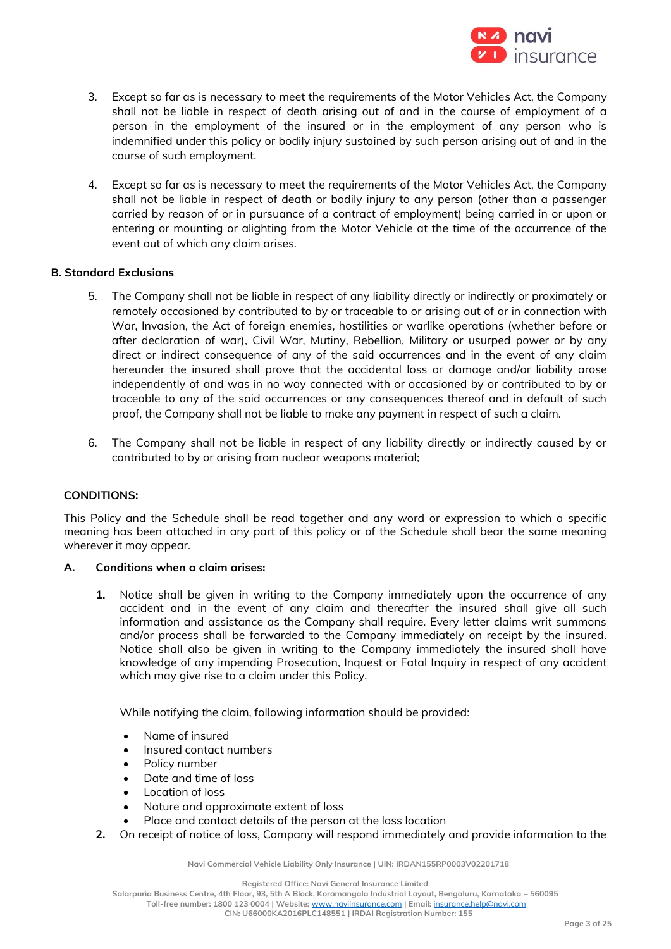

- 3. Except so far as is necessary to meet the requirements of the Motor Vehicles Act, the Company shall not be liable in respect of death arising out of and in the course of employment of a person in the employment of the insured or in the employment of any person who is indemnified under this policy or bodily injury sustained by such person arising out of and in the course of such employment.
- 4. Except so far as is necessary to meet the requirements of the Motor Vehicles Act, the Company shall not be liable in respect of death or bodily injury to any person (other than a passenger carried by reason of or in pursuance of a contract of employment) being carried in or upon or entering or mounting or alighting from the Motor Vehicle at the time of the occurrence of the event out of which any claim arises.

#### **B. Standard Exclusions**

- 5. The Company shall not be liable in respect of any liability directly or indirectly or proximately or remotely occasioned by contributed to by or traceable to or arising out of or in connection with War, Invasion, the Act of foreign enemies, hostilities or warlike operations (whether before or after declaration of war), Civil War, Mutiny, Rebellion, Military or usurped power or by any direct or indirect consequence of any of the said occurrences and in the event of any claim hereunder the insured shall prove that the accidental loss or damage and/or liability arose independently of and was in no way connected with or occasioned by or contributed to by or traceable to any of the said occurrences or any consequences thereof and in default of such proof, the Company shall not be liable to make any payment in respect of such a claim.
- 6. The Company shall not be liable in respect of any liability directly or indirectly caused by or contributed to by or arising from nuclear weapons material;

#### **CONDITIONS:**

This Policy and the Schedule shall be read together and any word or expression to which a specific meaning has been attached in any part of this policy or of the Schedule shall bear the same meaning wherever it may appear.

#### **A. Conditions when a claim arises:**

**1.** Notice shall be given in writing to the Company immediately upon the occurrence of any accident and in the event of any claim and thereafter the insured shall give all such information and assistance as the Company shall require. Every letter claims writ summons and/or process shall be forwarded to the Company immediately on receipt by the insured. Notice shall also be given in writing to the Company immediately the insured shall have knowledge of any impending Prosecution, Inquest or Fatal Inquiry in respect of any accident which may give rise to a claim under this Policy.

While notifying the claim, following information should be provided:

- Name of insured
- Insured contact numbers
- Policy number
- Date and time of loss
- Location of loss
- Nature and approximate extent of loss
- Place and contact details of the person at the loss location
- **2.** On receipt of notice of loss, Company will respond immediately and provide information to the

**Navi Commercial Vehicle Liability Only Insurance | UIN: IRDAN155RP0003V02201718**

**Registered Office: Navi General Insurance Limited**

**Salarpuria Business Centre, 4th Floor, 93, 5th A Block, Koramangala Industrial Layout, Bengaluru, Karnataka – 560095**

**Toll-free number: 1800 123 0004 | Website:** [www.naviinsurance.com](http://www.naviinsurance.com/) **| Email:** [insurance.help@navi.com](mailto:insurance.help@navi.com)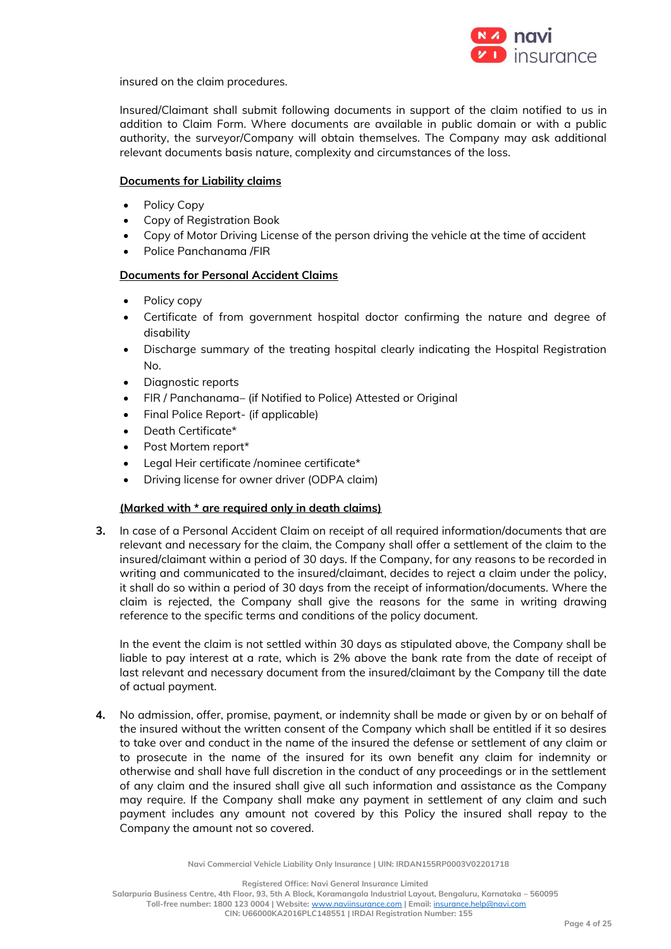

insured on the claim procedures.

Insured/Claimant shall submit following documents in support of the claim notified to us in addition to Claim Form. Where documents are available in public domain or with a public authority, the surveyor/Company will obtain themselves. The Company may ask additional relevant documents basis nature, complexity and circumstances of the loss.

#### **Documents for Liability claims**

- Policy Copy
- Copy of Registration Book
- Copy of Motor Driving License of the person driving the vehicle at the time of accident
- Police Panchanama /FIR

## **Documents for Personal Accident Claims**

- Policy copy
- Certificate of from government hospital doctor confirming the nature and degree of disability
- Discharge summary of the treating hospital clearly indicating the Hospital Registration No.
- Diagnostic reports
- FIR / Panchanama– (if Notified to Police) Attested or Original
- Final Police Report- (if applicable)
- Death Certificate\*
- Post Mortem report\*
- Legal Heir certificate /nominee certificate\*
- Driving license for owner driver (ODPA claim)

## **(Marked with \* are required only in death claims)**

**3.** In case of a Personal Accident Claim on receipt of all required information/documents that are relevant and necessary for the claim, the Company shall offer a settlement of the claim to the insured/claimant within a period of 30 days. If the Company, for any reasons to be recorded in writing and communicated to the insured/claimant, decides to reject a claim under the policy, it shall do so within a period of 30 days from the receipt of information/documents. Where the claim is rejected, the Company shall give the reasons for the same in writing drawing reference to the specific terms and conditions of the policy document.

In the event the claim is not settled within 30 days as stipulated above, the Company shall be liable to pay interest at a rate, which is 2% above the bank rate from the date of receipt of last relevant and necessary document from the insured/claimant by the Company till the date of actual payment.

**4.** No admission, offer, promise, payment, or indemnity shall be made or given by or on behalf of the insured without the written consent of the Company which shall be entitled if it so desires to take over and conduct in the name of the insured the defense or settlement of any claim or to prosecute in the name of the insured for its own benefit any claim for indemnity or otherwise and shall have full discretion in the conduct of any proceedings or in the settlement of any claim and the insured shall give all such information and assistance as the Company may require. If the Company shall make any payment in settlement of any claim and such payment includes any amount not covered by this Policy the insured shall repay to the Company the amount not so covered.

**Navi Commercial Vehicle Liability Only Insurance | UIN: IRDAN155RP0003V02201718**

**Registered Office: Navi General Insurance Limited**

**Salarpuria Business Centre, 4th Floor, 93, 5th A Block, Koramangala Industrial Layout, Bengaluru, Karnataka – 560095**

**Toll-free number: 1800 123 0004 | Website:** [www.naviinsurance.com](http://www.naviinsurance.com/) **| Email:** [insurance.help@navi.com](mailto:insurance.help@navi.com)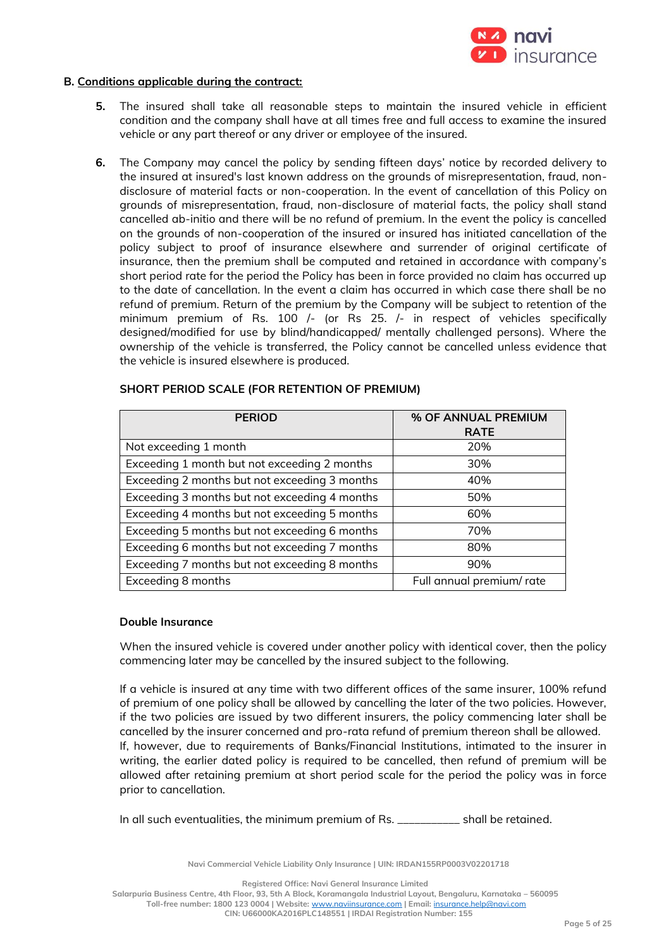

#### **B. Conditions applicable during the contract:**

- **5.** The insured shall take all reasonable steps to maintain the insured vehicle in efficient condition and the company shall have at all times free and full access to examine the insured vehicle or any part thereof or any driver or employee of the insured.
- **6.** The Company may cancel the policy by sending fifteen days' notice by recorded delivery to the insured at insured's last known address on the grounds of misrepresentation, fraud, nondisclosure of material facts or non-cooperation. In the event of cancellation of this Policy on grounds of misrepresentation, fraud, non-disclosure of material facts, the policy shall stand cancelled ab-initio and there will be no refund of premium. In the event the policy is cancelled on the grounds of non-cooperation of the insured or insured has initiated cancellation of the policy subject to proof of insurance elsewhere and surrender of original certificate of insurance, then the premium shall be computed and retained in accordance with company's short period rate for the period the Policy has been in force provided no claim has occurred up to the date of cancellation. In the event a claim has occurred in which case there shall be no refund of premium. Return of the premium by the Company will be subject to retention of the minimum premium of Rs. 100 /- (or Rs 25. /- in respect of vehicles specifically designed/modified for use by blind/handicapped/ mentally challenged persons). Where the ownership of the vehicle is transferred, the Policy cannot be cancelled unless evidence that the vehicle is insured elsewhere is produced.

| <b>PERIOD</b>                                 | % OF ANNUAL PREMIUM       |
|-----------------------------------------------|---------------------------|
|                                               | <b>RATE</b>               |
| Not exceeding 1 month                         | 20%                       |
| Exceeding 1 month but not exceeding 2 months  | 30%                       |
| Exceeding 2 months but not exceeding 3 months | 40%                       |
| Exceeding 3 months but not exceeding 4 months | 50%                       |
| Exceeding 4 months but not exceeding 5 months | 60%                       |
| Exceeding 5 months but not exceeding 6 months | 70%                       |
| Exceeding 6 months but not exceeding 7 months | 80%                       |
| Exceeding 7 months but not exceeding 8 months | 90%                       |
| Exceeding 8 months                            | Full annual premium/ rate |

#### **SHORT PERIOD SCALE (FOR RETENTION OF PREMIUM)**

#### **Double Insurance**

When the insured vehicle is covered under another policy with identical cover, then the policy commencing later may be cancelled by the insured subject to the following.

If a vehicle is insured at any time with two different offices of the same insurer, 100% refund of premium of one policy shall be allowed by cancelling the later of the two policies. However, if the two policies are issued by two different insurers, the policy commencing later shall be cancelled by the insurer concerned and pro-rata refund of premium thereon shall be allowed. If, however, due to requirements of Banks/Financial Institutions, intimated to the insurer in writing, the earlier dated policy is required to be cancelled, then refund of premium will be allowed after retaining premium at short period scale for the period the policy was in force prior to cancellation.

In all such eventualities, the minimum premium of Rs. \_\_\_\_\_\_\_\_\_\_\_ shall be retained.

**Navi Commercial Vehicle Liability Only Insurance | UIN: IRDAN155RP0003V02201718**

**Registered Office: Navi General Insurance Limited**

**Salarpuria Business Centre, 4th Floor, 93, 5th A Block, Koramangala Industrial Layout, Bengaluru, Karnataka – 560095**

**Toll-free number: 1800 123 0004 | Website:** [www.naviinsurance.com](http://www.naviinsurance.com/) **| Email:** [insurance.help@navi.com](mailto:insurance.help@navi.com)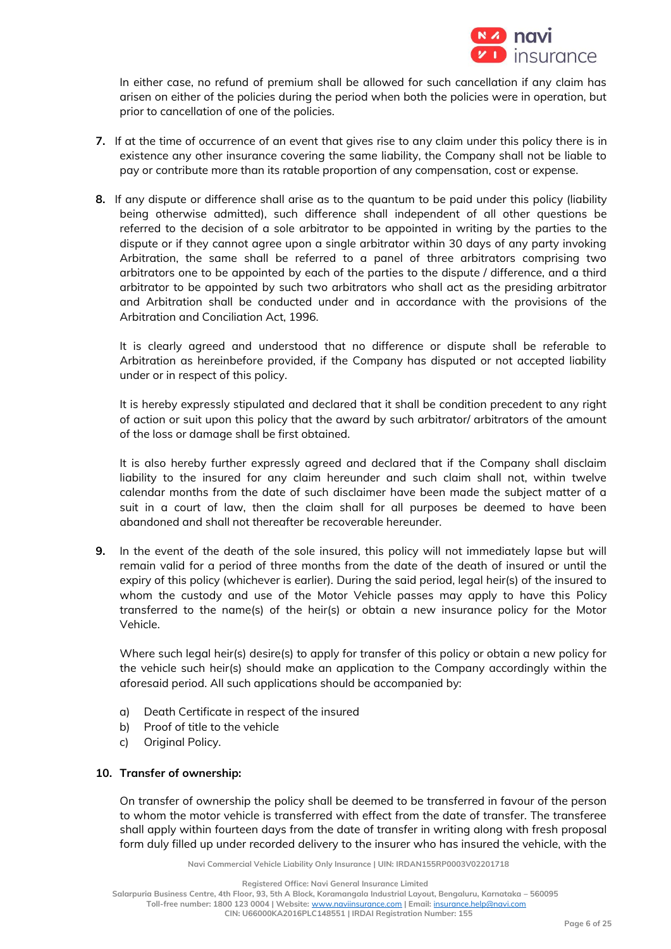

In either case, no refund of premium shall be allowed for such cancellation if any claim has arisen on either of the policies during the period when both the policies were in operation, but prior to cancellation of one of the policies.

- **7.** If at the time of occurrence of an event that gives rise to any claim under this policy there is in existence any other insurance covering the same liability, the Company shall not be liable to pay or contribute more than its ratable proportion of any compensation, cost or expense.
- **8.** If any dispute or difference shall arise as to the quantum to be paid under this policy (liability being otherwise admitted), such difference shall independent of all other questions be referred to the decision of a sole arbitrator to be appointed in writing by the parties to the dispute or if they cannot agree upon a single arbitrator within 30 days of any party invoking Arbitration, the same shall be referred to a panel of three arbitrators comprising two arbitrators one to be appointed by each of the parties to the dispute / difference, and a third arbitrator to be appointed by such two arbitrators who shall act as the presiding arbitrator and Arbitration shall be conducted under and in accordance with the provisions of the Arbitration and Conciliation Act, 1996.

It is clearly agreed and understood that no difference or dispute shall be referable to Arbitration as hereinbefore provided, if the Company has disputed or not accepted liability under or in respect of this policy.

It is hereby expressly stipulated and declared that it shall be condition precedent to any right of action or suit upon this policy that the award by such arbitrator/ arbitrators of the amount of the loss or damage shall be first obtained.

It is also hereby further expressly agreed and declared that if the Company shall disclaim liability to the insured for any claim hereunder and such claim shall not, within twelve calendar months from the date of such disclaimer have been made the subject matter of a suit in a court of law, then the claim shall for all purposes be deemed to have been abandoned and shall not thereafter be recoverable hereunder.

**9.** In the event of the death of the sole insured, this policy will not immediately lapse but will remain valid for a period of three months from the date of the death of insured or until the expiry of this policy (whichever is earlier). During the said period, legal heir(s) of the insured to whom the custody and use of the Motor Vehicle passes may apply to have this Policy transferred to the name(s) of the heir(s) or obtain a new insurance policy for the Motor Vehicle.

Where such legal heir(s) desire(s) to apply for transfer of this policy or obtain a new policy for the vehicle such heir(s) should make an application to the Company accordingly within the aforesaid period. All such applications should be accompanied by:

- a) Death Certificate in respect of the insured
- b) Proof of title to the vehicle
- c) Original Policy.

## **10. Transfer of ownership:**

On transfer of ownership the policy shall be deemed to be transferred in favour of the person to whom the motor vehicle is transferred with effect from the date of transfer. The transferee shall apply within fourteen days from the date of transfer in writing along with fresh proposal form duly filled up under recorded delivery to the insurer who has insured the vehicle, with the

**Navi Commercial Vehicle Liability Only Insurance | UIN: IRDAN155RP0003V02201718**

**Registered Office: Navi General Insurance Limited**

**Salarpuria Business Centre, 4th Floor, 93, 5th A Block, Koramangala Industrial Layout, Bengaluru, Karnataka – 560095**

**Toll-free number: 1800 123 0004 | Website:** [www.naviinsurance.com](http://www.naviinsurance.com/) **| Email:** [insurance.help@navi.com](mailto:insurance.help@navi.com)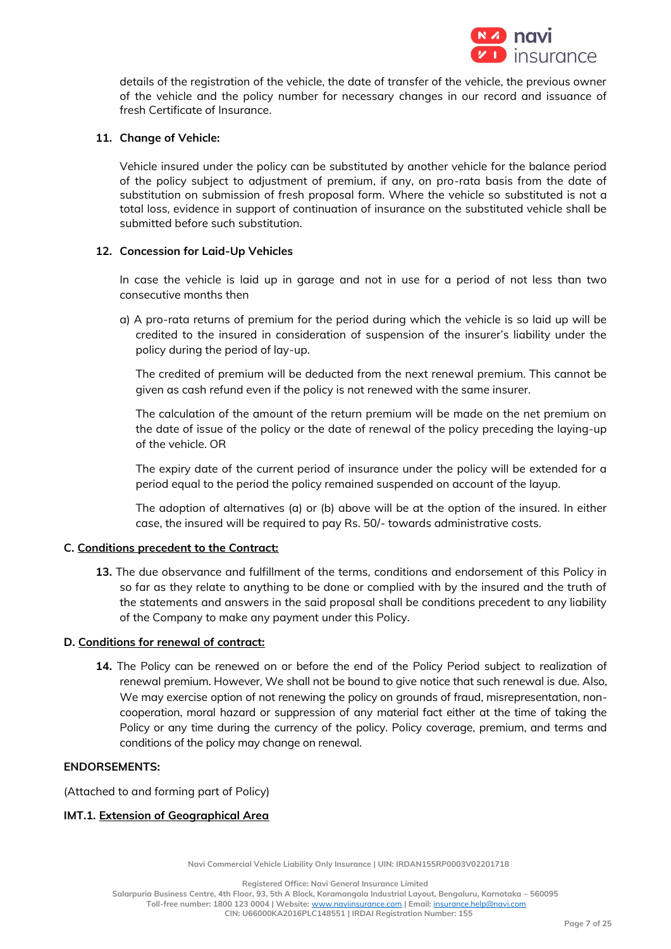

details of the registration of the vehicle, the date of transfer of the vehicle, the previous owner of the vehicle and the policy number for necessary changes in our record and issuance of fresh Certificate of Insurance.

## **11. Change of Vehicle:**

Vehicle insured under the policy can be substituted by another vehicle for the balance period of the policy subject to adjustment of premium, if any, on pro-rata basis from the date of substitution on submission of fresh proposal form. Where the vehicle so substituted is not a total loss, evidence in support of continuation of insurance on the substituted vehicle shall be submitted before such substitution.

#### **12. Concession for Laid-Up Vehicles**

In case the vehicle is laid up in garage and not in use for a period of not less than two consecutive months then

a) A pro-rata returns of premium for the period during which the vehicle is so laid up will be credited to the insured in consideration of suspension of the insurer's liability under the policy during the period of lay-up.

The credited of premium will be deducted from the next renewal premium. This cannot be given as cash refund even if the policy is not renewed with the same insurer.

The calculation of the amount of the return premium will be made on the net premium on the date of issue of the policy or the date of renewal of the policy preceding the laying-up of the vehicle. OR

The expiry date of the current period of insurance under the policy will be extended for a period equal to the period the policy remained suspended on account of the layup.

The adoption of alternatives (a) or (b) above will be at the option of the insured. In either case, the insured will be required to pay Rs. 50/- towards administrative costs.

## **C. Conditions precedent to the Contract:**

**13.** The due observance and fulfillment of the terms, conditions and endorsement of this Policy in so far as they relate to anything to be done or complied with by the insured and the truth of the statements and answers in the said proposal shall be conditions precedent to any liability of the Company to make any payment under this Policy.

#### **D. Conditions for renewal of contract:**

**14.** The Policy can be renewed on or before the end of the Policy Period subject to realization of renewal premium. However, We shall not be bound to give notice that such renewal is due. Also, We may exercise option of not renewing the policy on grounds of fraud, misrepresentation, noncooperation, moral hazard or suppression of any material fact either at the time of taking the Policy or any time during the currency of the policy. Policy coverage, premium, and terms and conditions of the policy may change on renewal.

#### **ENDORSEMENTS:**

(Attached to and forming part of Policy)

## **IMT.1. Extension of Geographical Area**

**Navi Commercial Vehicle Liability Only Insurance | UIN: IRDAN155RP0003V02201718**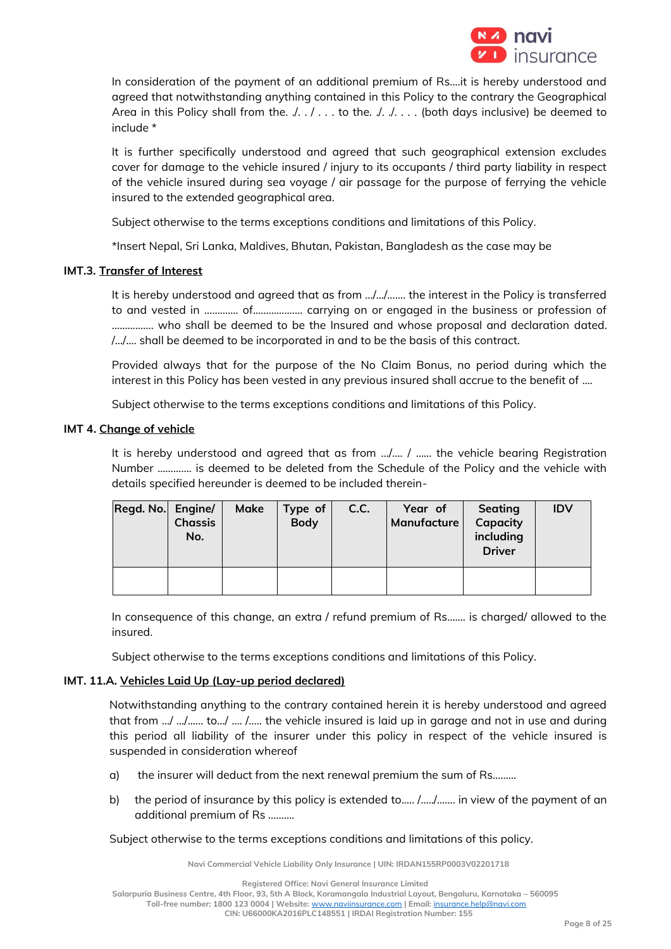

In consideration of the payment of an additional premium of Rs….it is hereby understood and agreed that notwithstanding anything contained in this Policy to the contrary the Geographical Area in this Policy shall from the.  $\ldots$  ... to the.  $\ldots$  ... (both days inclusive) be deemed to include \*

It is further specifically understood and agreed that such geographical extension excludes cover for damage to the vehicle insured / injury to its occupants / third party liability in respect of the vehicle insured during sea voyage / air passage for the purpose of ferrying the vehicle insured to the extended geographical area.

Subject otherwise to the terms exceptions conditions and limitations of this Policy.

\*Insert Nepal, Sri Lanka, Maldives, Bhutan, Pakistan, Bangladesh as the case may be

## **IMT.3. Transfer of Interest**

It is hereby understood and agreed that as from …/…/……. the interest in the Policy is transferred to and vested in ……….... of………………. carrying on or engaged in the business or profession of ……………. who shall be deemed to be the Insured and whose proposal and declaration dated. /…/…. shall be deemed to be incorporated in and to be the basis of this contract.

Provided always that for the purpose of the No Claim Bonus, no period during which the interest in this Policy has been vested in any previous insured shall accrue to the benefit of ....

Subject otherwise to the terms exceptions conditions and limitations of this Policy.

## **IMT 4. Change of vehicle**

It is hereby understood and agreed that as from .../.... / ...... the vehicle bearing Registration Number …………. is deemed to be deleted from the Schedule of the Policy and the vehicle with details specified hereunder is deemed to be included therein-

| Regd. No. Engine/ | <b>Chassis</b><br>No. | Make | Type of<br><b>Body</b> | C.C. | Year of<br>Manufacture | Seating<br>Capacity<br>including<br><b>Driver</b> | <b>IDV</b> |
|-------------------|-----------------------|------|------------------------|------|------------------------|---------------------------------------------------|------------|
|                   |                       |      |                        |      |                        |                                                   |            |

In consequence of this change, an extra / refund premium of Rs….... is charged/ allowed to the insured.

Subject otherwise to the terms exceptions conditions and limitations of this Policy.

## **IMT. 11.A. Vehicles Laid Up (Lay-up period declared)**

Notwithstanding anything to the contrary contained herein it is hereby understood and agreed that from …/ …/…... to…/ …. /….. the vehicle insured is laid up in garage and not in use and during this period all liability of the insurer under this policy in respect of the vehicle insured is suspended in consideration whereof

- a) the insurer will deduct from the next renewal premium the sum of Rs………
- b) the period of insurance by this policy is extended to..... /............. in view of the payment of an additional premium of Rs ……….

Subject otherwise to the terms exceptions conditions and limitations of this policy.

**Navi Commercial Vehicle Liability Only Insurance | UIN: IRDAN155RP0003V02201718**

**Registered Office: Navi General Insurance Limited**

**Toll-free number: 1800 123 0004 | Website:** [www.naviinsurance.com](http://www.naviinsurance.com/) **| Email:** [insurance.help@navi.com](mailto:insurance.help@navi.com)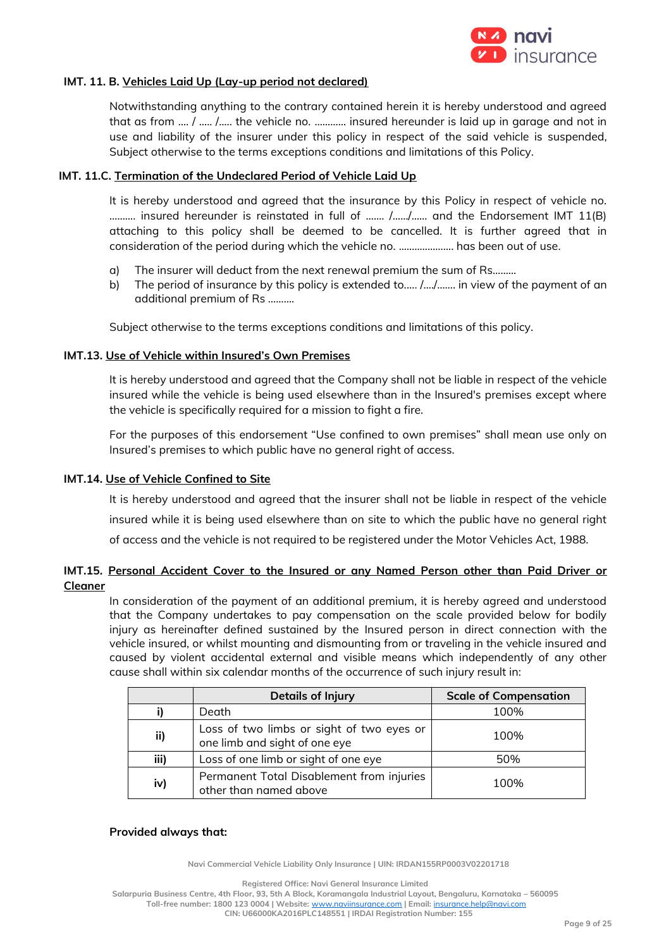

## **IMT. 11. B. Vehicles Laid Up (Lay-up period not declared)**

Notwithstanding anything to the contrary contained herein it is hereby understood and agreed that as from …. / ….. /….. the vehicle no. ………… insured hereunder is laid up in garage and not in use and liability of the insurer under this policy in respect of the said vehicle is suspended, Subject otherwise to the terms exceptions conditions and limitations of this Policy.

#### **IMT. 11.C. Termination of the Undeclared Period of Vehicle Laid Up**

It is hereby understood and agreed that the insurance by this Policy in respect of vehicle no. ………. insured hereunder is reinstated in full of ……. /……/…… and the Endorsement IMT 11(B) attaching to this policy shall be deemed to be cancelled. It is further agreed that in consideration of the period during which the vehicle no. ..………………. has been out of use.

- a) The insurer will deduct from the next renewal premium the sum of Rs………
- b) The period of insurance by this policy is extended to.…. /…./……. in view of the payment of an additional premium of Rs ……….

Subject otherwise to the terms exceptions conditions and limitations of this policy.

#### **IMT.13. Use of Vehicle within Insured's Own Premises**

It is hereby understood and agreed that the Company shall not be liable in respect of the vehicle insured while the vehicle is being used elsewhere than in the Insured's premises except where the vehicle is specifically required for a mission to fight a fire.

For the purposes of this endorsement "Use confined to own premises" shall mean use only on Insured's premises to which public have no general right of access.

#### **IMT.14. Use of Vehicle Confined to Site**

It is hereby understood and agreed that the insurer shall not be liable in respect of the vehicle insured while it is being used elsewhere than on site to which the public have no general right of access and the vehicle is not required to be registered under the Motor Vehicles Act, 1988.

## **IMT.15. Personal Accident Cover to the Insured or any Named Person other than Paid Driver or Cleaner**

In consideration of the payment of an additional premium, it is hereby agreed and understood that the Company undertakes to pay compensation on the scale provided below for bodily injury as hereinafter defined sustained by the Insured person in direct connection with the vehicle insured, or whilst mounting and dismounting from or traveling in the vehicle insured and caused by violent accidental external and visible means which independently of any other cause shall within six calendar months of the occurrence of such injury result in:

|      | <b>Details of Injury</b>                                                   | <b>Scale of Compensation</b> |
|------|----------------------------------------------------------------------------|------------------------------|
|      | Death                                                                      | 100%                         |
| ii)  | Loss of two limbs or sight of two eyes or<br>one limb and sight of one eye | 100%                         |
| iii) | Loss of one limb or sight of one eye                                       | 50%                          |
| iv)  | Permanent Total Disablement from injuries<br>other than named above        | 100%                         |

#### **Provided always that:**

**Navi Commercial Vehicle Liability Only Insurance | UIN: IRDAN155RP0003V02201718**

**Registered Office: Navi General Insurance Limited**

**Salarpuria Business Centre, 4th Floor, 93, 5th A Block, Koramangala Industrial Layout, Bengaluru, Karnataka – 560095 Toll-free number: 1800 123 0004 | Website:** [www.naviinsurance.com](http://www.naviinsurance.com/) **| Email:** [insurance.help@navi.com](mailto:insurance.help@navi.com)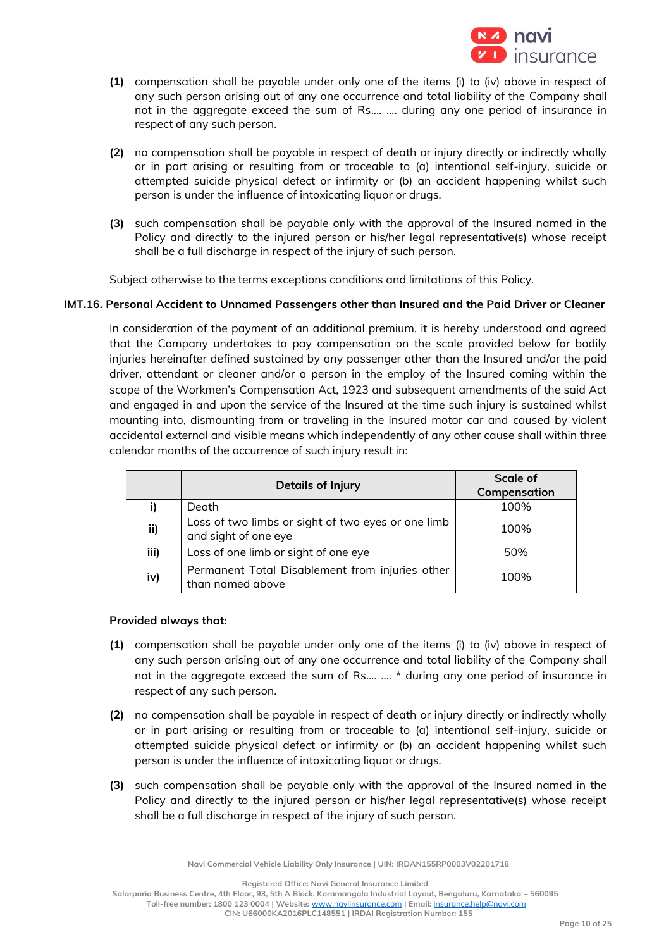

- **(1)** compensation shall be payable under only one of the items (i) to (iv) above in respect of any such person arising out of any one occurrence and total liability of the Company shall not in the aggregate exceed the sum of Rs.... …. during any one period of insurance in respect of any such person.
- **(2)** no compensation shall be payable in respect of death or injury directly or indirectly wholly or in part arising or resulting from or traceable to (a) intentional self-injury, suicide or attempted suicide physical defect or infirmity or (b) an accident happening whilst such person is under the influence of intoxicating liquor or drugs.
- **(3)** such compensation shall be payable only with the approval of the Insured named in the Policy and directly to the injured person or his/her legal representative(s) whose receipt shall be a full discharge in respect of the injury of such person.

Subject otherwise to the terms exceptions conditions and limitations of this Policy.

## **IMT.16. Personal Accident to Unnamed Passengers other than Insured and the Paid Driver or Cleaner**

In consideration of the payment of an additional premium, it is hereby understood and agreed that the Company undertakes to pay compensation on the scale provided below for bodily injuries hereinafter defined sustained by any passenger other than the Insured and/or the paid driver, attendant or cleaner and/or a person in the employ of the Insured coming within the scope of the Workmen's Compensation Act, 1923 and subsequent amendments of the said Act and engaged in and upon the service of the Insured at the time such injury is sustained whilst mounting into, dismounting from or traveling in the insured motor car and caused by violent accidental external and visible means which independently of any other cause shall within three calendar months of the occurrence of such injury result in:

|      | <b>Details of Injury</b>                                                   | Scale of     |
|------|----------------------------------------------------------------------------|--------------|
|      |                                                                            | Compensation |
|      | Death                                                                      | 100%         |
| ii)  | Loss of two limbs or sight of two eyes or one limb<br>and sight of one eye | 100%         |
| iii) | Loss of one limb or sight of one eye                                       | 50%          |
| iv)  | Permanent Total Disablement from injuries other<br>than named above        | 100%         |

## **Provided always that:**

- **(1)** compensation shall be payable under only one of the items (i) to (iv) above in respect of any such person arising out of any one occurrence and total liability of the Company shall not in the aggregate exceed the sum of Rs.... …. \* during any one period of insurance in respect of any such person.
- **(2)** no compensation shall be payable in respect of death or injury directly or indirectly wholly or in part arising or resulting from or traceable to (a) intentional self-injury, suicide or attempted suicide physical defect or infirmity or (b) an accident happening whilst such person is under the influence of intoxicating liquor or drugs.
- **(3)** such compensation shall be payable only with the approval of the Insured named in the Policy and directly to the injured person or his/her legal representative(s) whose receipt shall be a full discharge in respect of the injury of such person.

**Navi Commercial Vehicle Liability Only Insurance | UIN: IRDAN155RP0003V02201718**

**Registered Office: Navi General Insurance Limited**

**Salarpuria Business Centre, 4th Floor, 93, 5th A Block, Koramangala Industrial Layout, Bengaluru, Karnataka – 560095 Toll-free number: 1800 123 0004 | Website:** [www.naviinsurance.com](http://www.naviinsurance.com/) **| Email:** [insurance.help@navi.com](mailto:insurance.help@navi.com)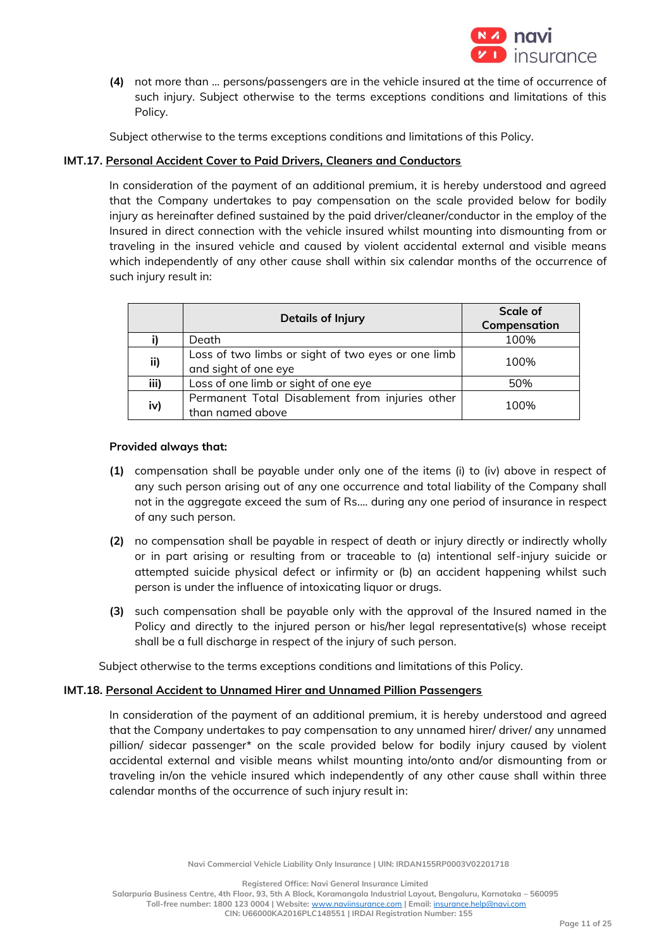

**(4)** not more than … persons/passengers are in the vehicle insured at the time of occurrence of such injury. Subject otherwise to the terms exceptions conditions and limitations of this Policy.

Subject otherwise to the terms exceptions conditions and limitations of this Policy.

## **IMT.17. Personal Accident Cover to Paid Drivers, Cleaners and Conductors**

In consideration of the payment of an additional premium, it is hereby understood and agreed that the Company undertakes to pay compensation on the scale provided below for bodily injury as hereinafter defined sustained by the paid driver/cleaner/conductor in the employ of the Insured in direct connection with the vehicle insured whilst mounting into dismounting from or traveling in the insured vehicle and caused by violent accidental external and visible means which independently of any other cause shall within six calendar months of the occurrence of such injury result in:

|      | <b>Details of Injury</b>                                                   | Scale of<br>Compensation |
|------|----------------------------------------------------------------------------|--------------------------|
|      | Death                                                                      | 100%                     |
| ii)  | Loss of two limbs or sight of two eyes or one limb<br>and sight of one eye | 100%                     |
| iii) | Loss of one limb or sight of one eye                                       | 50%                      |
| iv)  | Permanent Total Disablement from injuries other<br>than named above        | 100%                     |

## **Provided always that:**

- **(1)** compensation shall be payable under only one of the items (i) to (iv) above in respect of any such person arising out of any one occurrence and total liability of the Company shall not in the aggregate exceed the sum of Rs.... during any one period of insurance in respect of any such person.
- **(2)** no compensation shall be payable in respect of death or injury directly or indirectly wholly or in part arising or resulting from or traceable to (a) intentional self-injury suicide or attempted suicide physical defect or infirmity or (b) an accident happening whilst such person is under the influence of intoxicating liquor or drugs.
- **(3)** such compensation shall be payable only with the approval of the Insured named in the Policy and directly to the injured person or his/her legal representative(s) whose receipt shall be a full discharge in respect of the injury of such person.

Subject otherwise to the terms exceptions conditions and limitations of this Policy.

## **IMT.18. Personal Accident to Unnamed Hirer and Unnamed Pillion Passengers**

In consideration of the payment of an additional premium, it is hereby understood and agreed that the Company undertakes to pay compensation to any unnamed hirer/ driver/ any unnamed pillion/ sidecar passenger\* on the scale provided below for bodily injury caused by violent accidental external and visible means whilst mounting into/onto and/or dismounting from or traveling in/on the vehicle insured which independently of any other cause shall within three calendar months of the occurrence of such injury result in:

**Navi Commercial Vehicle Liability Only Insurance | UIN: IRDAN155RP0003V02201718**

**Registered Office: Navi General Insurance Limited**

**Salarpuria Business Centre, 4th Floor, 93, 5th A Block, Koramangala Industrial Layout, Bengaluru, Karnataka – 560095**

**Toll-free number: 1800 123 0004 | Website:** [www.naviinsurance.com](http://www.naviinsurance.com/) **| Email:** [insurance.help@navi.com](mailto:insurance.help@navi.com)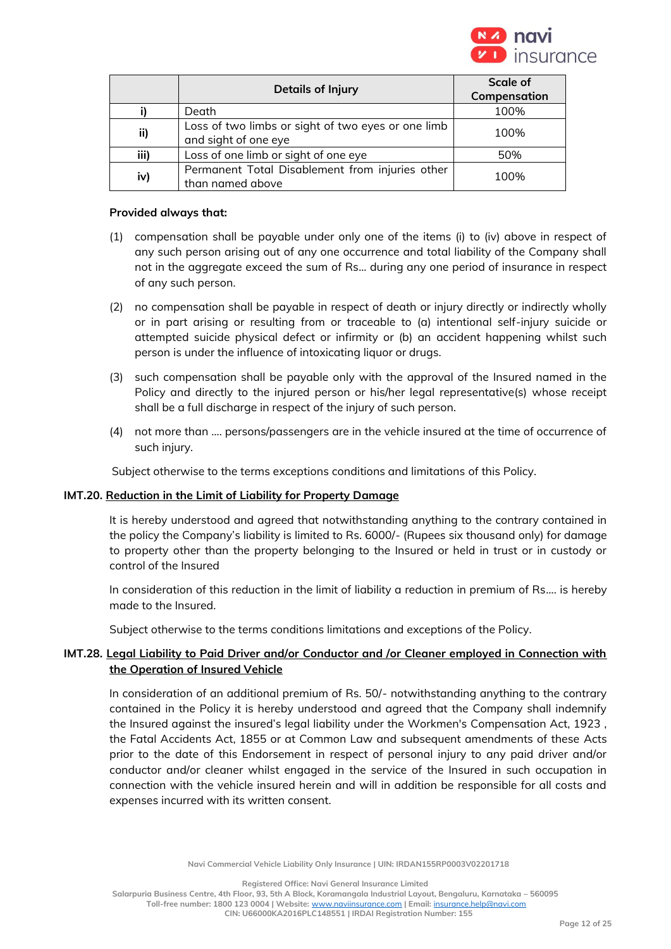

|      | <b>Details of Injury</b>                                                   | Scale of     |
|------|----------------------------------------------------------------------------|--------------|
|      |                                                                            | Compensation |
|      | Death                                                                      | 100%         |
| ii)  | Loss of two limbs or sight of two eyes or one limb<br>and sight of one eye | 100%         |
| iii) | Loss of one limb or sight of one eye                                       | 50%          |
| iv)  | Permanent Total Disablement from injuries other<br>than named above        | 100%         |

#### **Provided always that:**

- (1) compensation shall be payable under only one of the items (i) to (iv) above in respect of any such person arising out of any one occurrence and total liability of the Company shall not in the aggregate exceed the sum of Rs... during any one period of insurance in respect of any such person.
- (2) no compensation shall be payable in respect of death or injury directly or indirectly wholly or in part arising or resulting from or traceable to (a) intentional self-injury suicide or attempted suicide physical defect or infirmity or (b) an accident happening whilst such person is under the influence of intoxicating liquor or drugs.
- (3) such compensation shall be payable only with the approval of the Insured named in the Policy and directly to the injured person or his/her legal representative(s) whose receipt shall be a full discharge in respect of the injury of such person.
- (4) not more than …. persons/passengers are in the vehicle insured at the time of occurrence of such injury.

Subject otherwise to the terms exceptions conditions and limitations of this Policy.

## **IMT.20. Reduction in the Limit of Liability for Property Damage**

It is hereby understood and agreed that notwithstanding anything to the contrary contained in the policy the Company's liability is limited to Rs. 6000/- (Rupees six thousand only) for damage to property other than the property belonging to the Insured or held in trust or in custody or control of the Insured

In consideration of this reduction in the limit of liability a reduction in premium of Rs…. is hereby made to the Insured.

Subject otherwise to the terms conditions limitations and exceptions of the Policy.

## **IMT.28. Legal Liability to Paid Driver and/or Conductor and /or Cleaner employed in Connection with the Operation of Insured Vehicle**

In consideration of an additional premium of Rs. 50/- notwithstanding anything to the contrary contained in the Policy it is hereby understood and agreed that the Company shall indemnify the Insured against the insured's legal liability under the Workmen's Compensation Act, 1923 , the Fatal Accidents Act, 1855 or at Common Law and subsequent amendments of these Acts prior to the date of this Endorsement in respect of personal injury to any paid driver and/or conductor and/or cleaner whilst engaged in the service of the Insured in such occupation in connection with the vehicle insured herein and will in addition be responsible for all costs and expenses incurred with its written consent.

**Navi Commercial Vehicle Liability Only Insurance | UIN: IRDAN155RP0003V02201718**

**Registered Office: Navi General Insurance Limited**

**Salarpuria Business Centre, 4th Floor, 93, 5th A Block, Koramangala Industrial Layout, Bengaluru, Karnataka – 560095 Toll-free number: 1800 123 0004 | Website:** [www.naviinsurance.com](http://www.naviinsurance.com/) **| Email:** [insurance.help@navi.com](mailto:insurance.help@navi.com) **CIN: U66000KA2016PLC148551 | IRDAI Registration Number: 155**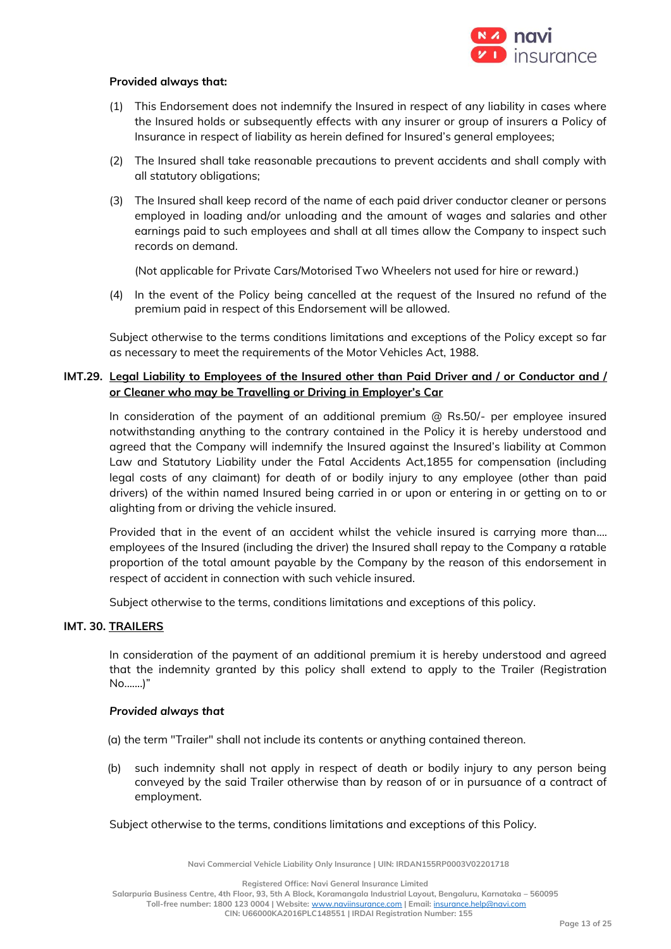

#### **Provided always that:**

- (1) This Endorsement does not indemnify the Insured in respect of any liability in cases where the Insured holds or subsequently effects with any insurer or group of insurers a Policy of Insurance in respect of liability as herein defined for Insured's general employees;
- (2) The Insured shall take reasonable precautions to prevent accidents and shall comply with all statutory obligations;
- (3) The Insured shall keep record of the name of each paid driver conductor cleaner or persons employed in loading and/or unloading and the amount of wages and salaries and other earnings paid to such employees and shall at all times allow the Company to inspect such records on demand.

(Not applicable for Private Cars/Motorised Two Wheelers not used for hire or reward.)

(4) In the event of the Policy being cancelled at the request of the Insured no refund of the premium paid in respect of this Endorsement will be allowed.

Subject otherwise to the terms conditions limitations and exceptions of the Policy except so far as necessary to meet the requirements of the Motor Vehicles Act, 1988.

## **IMT.29. Legal Liability to Employees of the Insured other than Paid Driver and / or Conductor and / or Cleaner who may be Travelling or Driving in Employer's Car**

In consideration of the payment of an additional premium @ Rs.50/- per employee insured notwithstanding anything to the contrary contained in the Policy it is hereby understood and agreed that the Company will indemnify the Insured against the Insured's liability at Common Law and Statutory Liability under the Fatal Accidents Act,1855 for compensation (including legal costs of any claimant) for death of or bodily injury to any employee (other than paid drivers) of the within named Insured being carried in or upon or entering in or getting on to or alighting from or driving the vehicle insured.

Provided that in the event of an accident whilst the vehicle insured is carrying more than.... employees of the Insured (including the driver) the Insured shall repay to the Company a ratable proportion of the total amount payable by the Company by the reason of this endorsement in respect of accident in connection with such vehicle insured.

Subject otherwise to the terms, conditions limitations and exceptions of this policy.

#### **IMT. 30. TRAILERS**

In consideration of the payment of an additional premium it is hereby understood and agreed that the indemnity granted by this policy shall extend to apply to the Trailer (Registration No.......)"

#### *Provided always that*

(a) the term "Trailer" shall not include its contents or anything contained thereon.

(b) such indemnity shall not apply in respect of death or bodily injury to any person being conveyed by the said Trailer otherwise than by reason of or in pursuance of a contract of employment.

Subject otherwise to the terms, conditions limitations and exceptions of this Policy.

**Navi Commercial Vehicle Liability Only Insurance | UIN: IRDAN155RP0003V02201718**

**Registered Office: Navi General Insurance Limited**

**Salarpuria Business Centre, 4th Floor, 93, 5th A Block, Koramangala Industrial Layout, Bengaluru, Karnataka – 560095**

**Toll-free number: 1800 123 0004 | Website:** [www.naviinsurance.com](http://www.naviinsurance.com/) **| Email:** [insurance.help@navi.com](mailto:insurance.help@navi.com)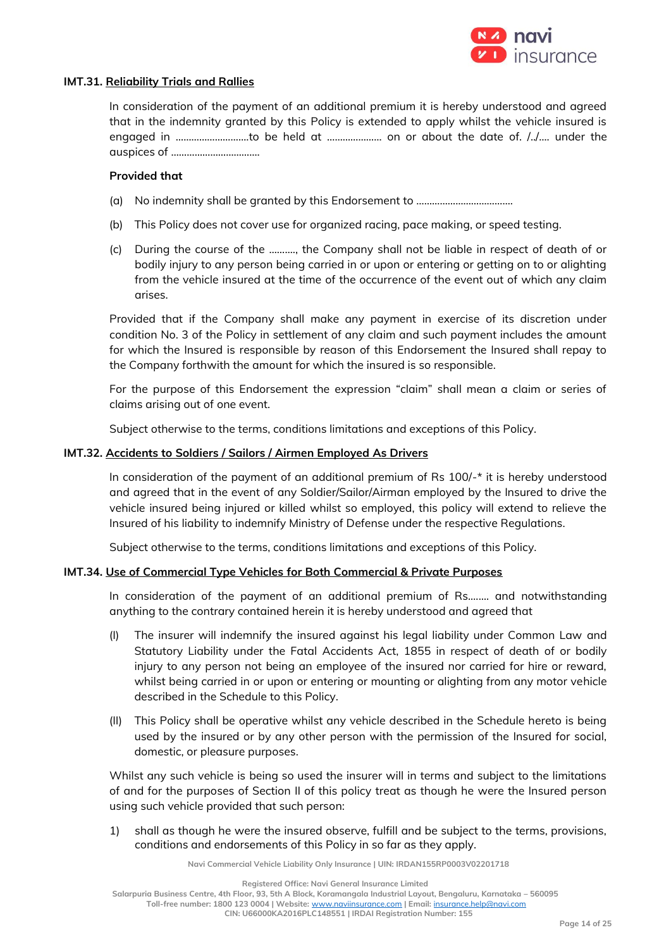

#### **IMT.31. Reliability Trials and Rallies**

In consideration of the payment of an additional premium it is hereby understood and agreed that in the indemnity granted by this Policy is extended to apply whilst the vehicle insured is engaged in ……………………….to be held at ………………… on or about the date of. /../…. under the auspices of …………………………….

#### **Provided that**

- (a) No indemnity shall be granted by this Endorsement to ……………………………….
- (b) This Policy does not cover use for organized racing, pace making, or speed testing.
- (c) During the course of the ………., the Company shall not be liable in respect of death of or bodily injury to any person being carried in or upon or entering or getting on to or alighting from the vehicle insured at the time of the occurrence of the event out of which any claim arises.

Provided that if the Company shall make any payment in exercise of its discretion under condition No. 3 of the Policy in settlement of any claim and such payment includes the amount for which the Insured is responsible by reason of this Endorsement the Insured shall repay to the Company forthwith the amount for which the insured is so responsible.

For the purpose of this Endorsement the expression "claim" shall mean a claim or series of claims arising out of one event.

Subject otherwise to the terms, conditions limitations and exceptions of this Policy.

#### **IMT.32. Accidents to Soldiers / Sailors / Airmen Employed As Drivers**

In consideration of the payment of an additional premium of Rs 100/-\* it is hereby understood and agreed that in the event of any Soldier/Sailor/Airman employed by the Insured to drive the vehicle insured being injured or killed whilst so employed, this policy will extend to relieve the Insured of his liability to indemnify Ministry of Defense under the respective Regulations.

Subject otherwise to the terms, conditions limitations and exceptions of this Policy.

## **IMT.34. Use of Commercial Type Vehicles for Both Commercial & Private Purposes**

In consideration of the payment of an additional premium of Rs.……. and notwithstanding anything to the contrary contained herein it is hereby understood and agreed that

- (I) The insurer will indemnify the insured against his legal liability under Common Law and Statutory Liability under the Fatal Accidents Act, 1855 in respect of death of or bodily injury to any person not being an employee of the insured nor carried for hire or reward, whilst being carried in or upon or entering or mounting or alighting from any motor vehicle described in the Schedule to this Policy.
- (II) This Policy shall be operative whilst any vehicle described in the Schedule hereto is being used by the insured or by any other person with the permission of the Insured for social, domestic, or pleasure purposes.

Whilst any such vehicle is being so used the insurer will in terms and subject to the limitations of and for the purposes of Section II of this policy treat as though he were the Insured person using such vehicle provided that such person:

1) shall as though he were the insured observe, fulfill and be subject to the terms, provisions, conditions and endorsements of this Policy in so far as they apply.

**Navi Commercial Vehicle Liability Only Insurance | UIN: IRDAN155RP0003V02201718**

**Salarpuria Business Centre, 4th Floor, 93, 5th A Block, Koramangala Industrial Layout, Bengaluru, Karnataka – 560095 Toll-free number: 1800 123 0004 | Website:** [www.naviinsurance.com](http://www.naviinsurance.com/) **| Email:** [insurance.help@navi.com](mailto:insurance.help@navi.com) **CIN: U66000KA2016PLC148551 | IRDAI Registration Number: 155**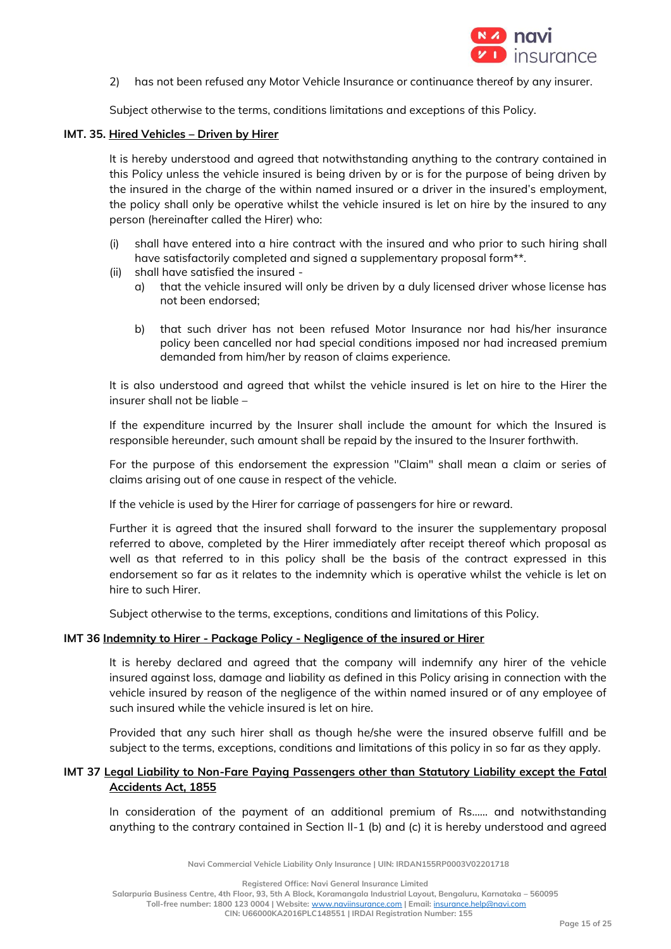

2) has not been refused any Motor Vehicle Insurance or continuance thereof by any insurer.

Subject otherwise to the terms, conditions limitations and exceptions of this Policy.

#### **IMT. 35. Hired Vehicles – Driven by Hirer**

It is hereby understood and agreed that notwithstanding anything to the contrary contained in this Policy unless the vehicle insured is being driven by or is for the purpose of being driven by the insured in the charge of the within named insured or a driver in the insured's employment, the policy shall only be operative whilst the vehicle insured is let on hire by the insured to any person (hereinafter called the Hirer) who:

- (i) shall have entered into a hire contract with the insured and who prior to such hiring shall have satisfactorily completed and signed a supplementary proposal form\*\*.
- (ii) shall have satisfied the insured
	- a) that the vehicle insured will only be driven by a duly licensed driver whose license has not been endorsed;
	- b) that such driver has not been refused Motor Insurance nor had his/her insurance policy been cancelled nor had special conditions imposed nor had increased premium demanded from him/her by reason of claims experience.

It is also understood and agreed that whilst the vehicle insured is let on hire to the Hirer the insurer shall not be liable –

If the expenditure incurred by the Insurer shall include the amount for which the Insured is responsible hereunder, such amount shall be repaid by the insured to the Insurer forthwith.

For the purpose of this endorsement the expression "Claim" shall mean a claim or series of claims arising out of one cause in respect of the vehicle.

If the vehicle is used by the Hirer for carriage of passengers for hire or reward.

Further it is agreed that the insured shall forward to the insurer the supplementary proposal referred to above, completed by the Hirer immediately after receipt thereof which proposal as well as that referred to in this policy shall be the basis of the contract expressed in this endorsement so far as it relates to the indemnity which is operative whilst the vehicle is let on hire to such Hirer.

Subject otherwise to the terms, exceptions, conditions and limitations of this Policy.

## **IMT 36 Indemnity to Hirer - Package Policy - Negligence of the insured or Hirer**

It is hereby declared and agreed that the company will indemnify any hirer of the vehicle insured against loss, damage and liability as defined in this Policy arising in connection with the vehicle insured by reason of the negligence of the within named insured or of any employee of such insured while the vehicle insured is let on hire.

Provided that any such hirer shall as though he/she were the insured observe fulfill and be subject to the terms, exceptions, conditions and limitations of this policy in so far as they apply.

## **IMT 37 Legal Liability to Non-Fare Paying Passengers other than Statutory Liability except the Fatal Accidents Act, 1855**

In consideration of the payment of an additional premium of Rs…… and notwithstanding anything to the contrary contained in Section II-1 (b) and (c) it is hereby understood and agreed

**Navi Commercial Vehicle Liability Only Insurance | UIN: IRDAN155RP0003V02201718**

**Registered Office: Navi General Insurance Limited**

**Salarpuria Business Centre, 4th Floor, 93, 5th A Block, Koramangala Industrial Layout, Bengaluru, Karnataka – 560095**

**Toll-free number: 1800 123 0004 | Website:** [www.naviinsurance.com](http://www.naviinsurance.com/) **| Email:** [insurance.help@navi.com](mailto:insurance.help@navi.com)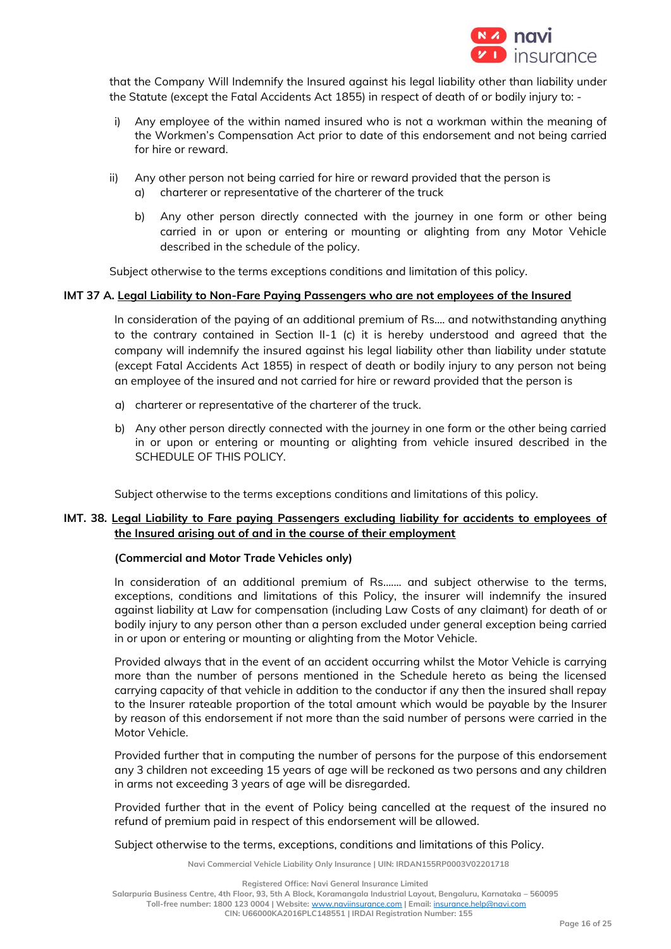

that the Company Will Indemnify the Insured against his legal liability other than liability under the Statute (except the Fatal Accidents Act 1855) in respect of death of or bodily injury to: -

- i) Any employee of the within named insured who is not a workman within the meaning of the Workmen's Compensation Act prior to date of this endorsement and not being carried for hire or reward.
- ii) Any other person not being carried for hire or reward provided that the person is a) charterer or representative of the charterer of the truck
	- b) Any other person directly connected with the journey in one form or other being carried in or upon or entering or mounting or alighting from any Motor Vehicle described in the schedule of the policy.

Subject otherwise to the terms exceptions conditions and limitation of this policy.

#### **IMT 37 A. Legal Liability to Non-Fare Paying Passengers who are not employees of the Insured**

In consideration of the paying of an additional premium of Rs…. and notwithstanding anything to the contrary contained in Section II-1 (c) it is hereby understood and agreed that the company will indemnify the insured against his legal liability other than liability under statute (except Fatal Accidents Act 1855) in respect of death or bodily injury to any person not being an employee of the insured and not carried for hire or reward provided that the person is

- a) charterer or representative of the charterer of the truck.
- b) Any other person directly connected with the journey in one form or the other being carried in or upon or entering or mounting or alighting from vehicle insured described in the SCHEDULE OF THIS POLICY.

Subject otherwise to the terms exceptions conditions and limitations of this policy.

## **IMT. 38. Legal Liability to Fare paying Passengers excluding liability for accidents to employees of the Insured arising out of and in the course of their employment**

## **(Commercial and Motor Trade Vehicles only)**

In consideration of an additional premium of Rs....... and subject otherwise to the terms, exceptions, conditions and limitations of this Policy, the insurer will indemnify the insured against liability at Law for compensation (including Law Costs of any claimant) for death of or bodily injury to any person other than a person excluded under general exception being carried in or upon or entering or mounting or alighting from the Motor Vehicle.

Provided always that in the event of an accident occurring whilst the Motor Vehicle is carrying more than the number of persons mentioned in the Schedule hereto as being the licensed carrying capacity of that vehicle in addition to the conductor if any then the insured shall repay to the Insurer rateable proportion of the total amount which would be payable by the Insurer by reason of this endorsement if not more than the said number of persons were carried in the Motor Vehicle.

Provided further that in computing the number of persons for the purpose of this endorsement any 3 children not exceeding 15 years of age will be reckoned as two persons and any children in arms not exceeding 3 years of age will be disregarded.

Provided further that in the event of Policy being cancelled at the request of the insured no refund of premium paid in respect of this endorsement will be allowed.

Subject otherwise to the terms, exceptions, conditions and limitations of this Policy.

**Navi Commercial Vehicle Liability Only Insurance | UIN: IRDAN155RP0003V02201718**

**Registered Office: Navi General Insurance Limited**

**Salarpuria Business Centre, 4th Floor, 93, 5th A Block, Koramangala Industrial Layout, Bengaluru, Karnataka – 560095**

**Toll-free number: 1800 123 0004 | Website:** [www.naviinsurance.com](http://www.naviinsurance.com/) **| Email:** [insurance.help@navi.com](mailto:insurance.help@navi.com)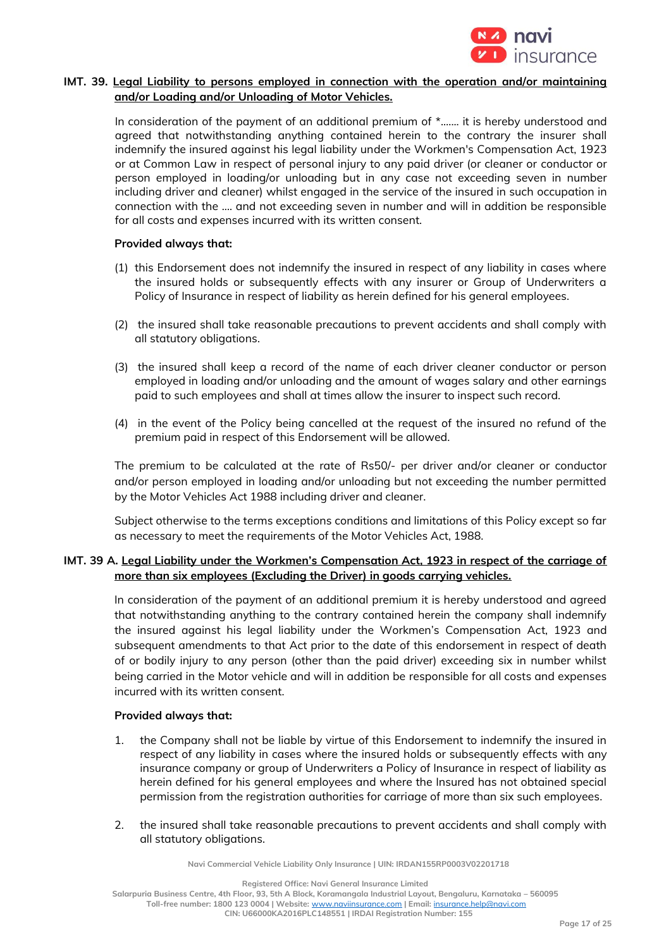

## **IMT. 39. Legal Liability to persons employed in connection with the operation and/or maintaining and/or Loading and/or Unloading of Motor Vehicles.**

In consideration of the payment of an additional premium of  $*$ ....... it is hereby understood and agreed that notwithstanding anything contained herein to the contrary the insurer shall indemnify the insured against his legal liability under the Workmen's Compensation Act, 1923 or at Common Law in respect of personal injury to any paid driver (or cleaner or conductor or person employed in loading/or unloading but in any case not exceeding seven in number including driver and cleaner) whilst engaged in the service of the insured in such occupation in connection with the .... and not exceeding seven in number and will in addition be responsible for all costs and expenses incurred with its written consent.

#### **Provided always that:**

- (1) this Endorsement does not indemnify the insured in respect of any liability in cases where the insured holds or subsequently effects with any insurer or Group of Underwriters a Policy of Insurance in respect of liability as herein defined for his general employees.
- (2) the insured shall take reasonable precautions to prevent accidents and shall comply with all statutory obligations.
- (3) the insured shall keep a record of the name of each driver cleaner conductor or person employed in loading and/or unloading and the amount of wages salary and other earnings paid to such employees and shall at times allow the insurer to inspect such record.
- (4) in the event of the Policy being cancelled at the request of the insured no refund of the premium paid in respect of this Endorsement will be allowed.

The premium to be calculated at the rate of Rs50/- per driver and/or cleaner or conductor and/or person employed in loading and/or unloading but not exceeding the number permitted by the Motor Vehicles Act 1988 including driver and cleaner.

Subject otherwise to the terms exceptions conditions and limitations of this Policy except so far as necessary to meet the requirements of the Motor Vehicles Act, 1988.

## **IMT. 39 A. Legal Liability under the Workmen's Compensation Act, 1923 in respect of the carriage of more than six employees (Excluding the Driver) in goods carrying vehicles.**

In consideration of the payment of an additional premium it is hereby understood and agreed that notwithstanding anything to the contrary contained herein the company shall indemnify the insured against his legal liability under the Workmen's Compensation Act, 1923 and subsequent amendments to that Act prior to the date of this endorsement in respect of death of or bodily injury to any person (other than the paid driver) exceeding six in number whilst being carried in the Motor vehicle and will in addition be responsible for all costs and expenses incurred with its written consent.

## **Provided always that:**

- 1. the Company shall not be liable by virtue of this Endorsement to indemnify the insured in respect of any liability in cases where the insured holds or subsequently effects with any insurance company or group of Underwriters a Policy of Insurance in respect of liability as herein defined for his general employees and where the Insured has not obtained special permission from the registration authorities for carriage of more than six such employees.
- 2. the insured shall take reasonable precautions to prevent accidents and shall comply with all statutory obligations.

**Navi Commercial Vehicle Liability Only Insurance | UIN: IRDAN155RP0003V02201718**

**Registered Office: Navi General Insurance Limited**

**Salarpuria Business Centre, 4th Floor, 93, 5th A Block, Koramangala Industrial Layout, Bengaluru, Karnataka – 560095 Toll-free number: 1800 123 0004 | Website:** [www.naviinsurance.com](http://www.naviinsurance.com/) **| Email:** [insurance.help@navi.com](mailto:insurance.help@navi.com)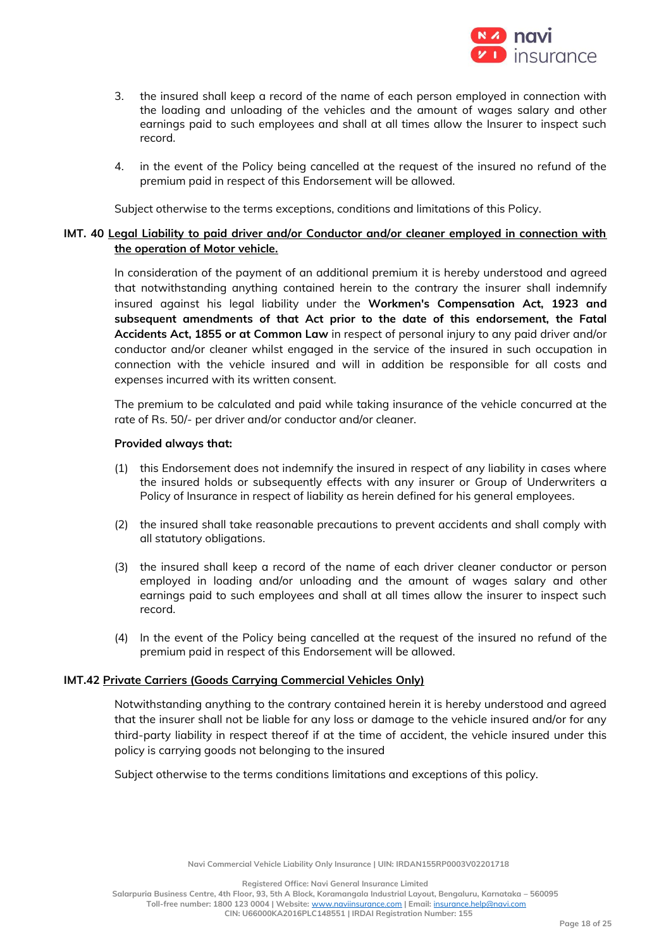

- 3. the insured shall keep a record of the name of each person employed in connection with the loading and unloading of the vehicles and the amount of wages salary and other earnings paid to such employees and shall at all times allow the Insurer to inspect such record.
- 4. in the event of the Policy being cancelled at the request of the insured no refund of the premium paid in respect of this Endorsement will be allowed.

Subject otherwise to the terms exceptions, conditions and limitations of this Policy.

## **IMT. 40 Legal Liability to paid driver and/or Conductor and/or cleaner employed in connection with the operation of Motor vehicle.**

In consideration of the payment of an additional premium it is hereby understood and agreed that notwithstanding anything contained herein to the contrary the insurer shall indemnify insured against his legal liability under the **Workmen's Compensation Act, 1923 and subsequent amendments of that Act prior to the date of this endorsement, the Fatal Accidents Act, 1855 or at Common Law** in respect of personal injury to any paid driver and/or conductor and/or cleaner whilst engaged in the service of the insured in such occupation in connection with the vehicle insured and will in addition be responsible for all costs and expenses incurred with its written consent.

The premium to be calculated and paid while taking insurance of the vehicle concurred at the rate of Rs. 50/- per driver and/or conductor and/or cleaner.

#### **Provided always that:**

- (1) this Endorsement does not indemnify the insured in respect of any liability in cases where the insured holds or subsequently effects with any insurer or Group of Underwriters a Policy of Insurance in respect of liability as herein defined for his general employees.
- (2) the insured shall take reasonable precautions to prevent accidents and shall comply with all statutory obligations.
- (3) the insured shall keep a record of the name of each driver cleaner conductor or person employed in loading and/or unloading and the amount of wages salary and other earnings paid to such employees and shall at all times allow the insurer to inspect such record.
- (4) In the event of the Policy being cancelled at the request of the insured no refund of the premium paid in respect of this Endorsement will be allowed.

## **IMT.42 Private Carriers (Goods Carrying Commercial Vehicles Only)**

Notwithstanding anything to the contrary contained herein it is hereby understood and agreed that the insurer shall not be liable for any loss or damage to the vehicle insured and/or for any third-party liability in respect thereof if at the time of accident, the vehicle insured under this policy is carrying goods not belonging to the insured

Subject otherwise to the terms conditions limitations and exceptions of this policy.

**Registered Office: Navi General Insurance Limited**

**Salarpuria Business Centre, 4th Floor, 93, 5th A Block, Koramangala Industrial Layout, Bengaluru, Karnataka – 560095**

**Toll-free number: 1800 123 0004 | Website:** [www.naviinsurance.com](http://www.naviinsurance.com/) **| Email:** [insurance.help@navi.com](mailto:insurance.help@navi.com)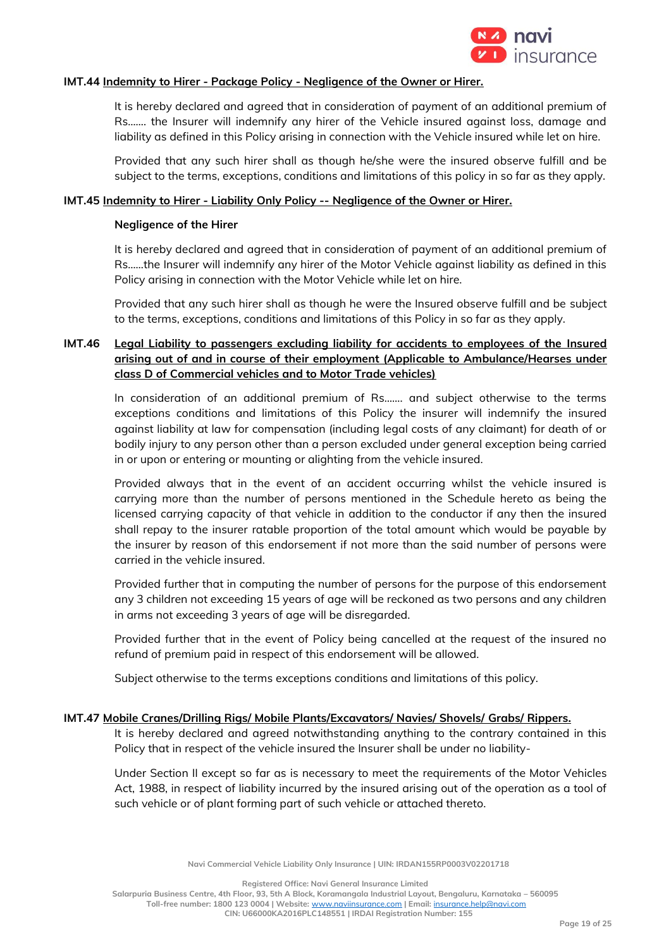

## **IMT.44 Indemnity to Hirer - Package Policy - Negligence of the Owner or Hirer.**

It is hereby declared and agreed that in consideration of payment of an additional premium of Rs……. the Insurer will indemnify any hirer of the Vehicle insured against loss, damage and liability as defined in this Policy arising in connection with the Vehicle insured while let on hire.

Provided that any such hirer shall as though he/she were the insured observe fulfill and be subject to the terms, exceptions, conditions and limitations of this policy in so far as they apply.

#### **IMT.45 Indemnity to Hirer - Liability Only Policy -- Negligence of the Owner or Hirer.**

#### **Negligence of the Hirer**

It is hereby declared and agreed that in consideration of payment of an additional premium of Rs……the Insurer will indemnify any hirer of the Motor Vehicle against liability as defined in this Policy arising in connection with the Motor Vehicle while let on hire.

Provided that any such hirer shall as though he were the Insured observe fulfill and be subject to the terms, exceptions, conditions and limitations of this Policy in so far as they apply.

# **IMT.46 Legal Liability to passengers excluding liability for accidents to employees of the Insured arising out of and in course of their employment (Applicable to Ambulance/Hearses under class D of Commercial vehicles and to Motor Trade vehicles)**

In consideration of an additional premium of Rs……. and subject otherwise to the terms exceptions conditions and limitations of this Policy the insurer will indemnify the insured against liability at law for compensation (including legal costs of any claimant) for death of or bodily injury to any person other than a person excluded under general exception being carried in or upon or entering or mounting or alighting from the vehicle insured.

Provided always that in the event of an accident occurring whilst the vehicle insured is carrying more than the number of persons mentioned in the Schedule hereto as being the licensed carrying capacity of that vehicle in addition to the conductor if any then the insured shall repay to the insurer ratable proportion of the total amount which would be payable by the insurer by reason of this endorsement if not more than the said number of persons were carried in the vehicle insured.

Provided further that in computing the number of persons for the purpose of this endorsement any 3 children not exceeding 15 years of age will be reckoned as two persons and any children in arms not exceeding 3 years of age will be disregarded.

Provided further that in the event of Policy being cancelled at the request of the insured no refund of premium paid in respect of this endorsement will be allowed.

Subject otherwise to the terms exceptions conditions and limitations of this policy.

#### **IMT.47 Mobile Cranes/Drilling Rigs/ Mobile Plants/Excavators/ Navies/ Shovels/ Grabs/ Rippers.**

It is hereby declared and agreed notwithstanding anything to the contrary contained in this Policy that in respect of the vehicle insured the Insurer shall be under no liability-

Under Section II except so far as is necessary to meet the requirements of the Motor Vehicles Act, 1988, in respect of liability incurred by the insured arising out of the operation as a tool of such vehicle or of plant forming part of such vehicle or attached thereto.

**Navi Commercial Vehicle Liability Only Insurance | UIN: IRDAN155RP0003V02201718**

**Registered Office: Navi General Insurance Limited**

**Salarpuria Business Centre, 4th Floor, 93, 5th A Block, Koramangala Industrial Layout, Bengaluru, Karnataka – 560095**

**Toll-free number: 1800 123 0004 | Website:** [www.naviinsurance.com](http://www.naviinsurance.com/) **| Email:** [insurance.help@navi.com](mailto:insurance.help@navi.com)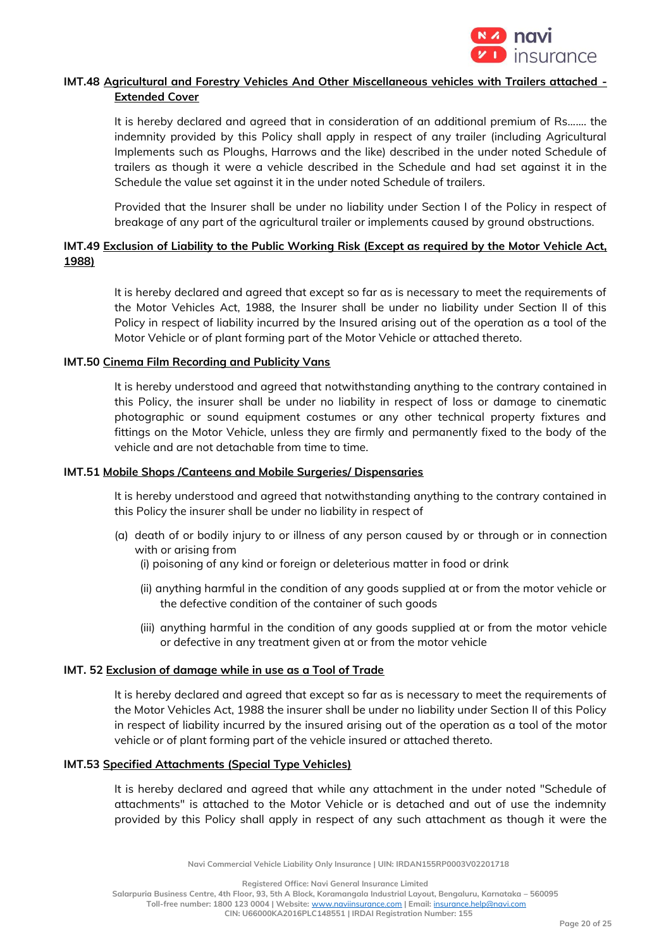

# **IMT.48 Agricultural and Forestry Vehicles And Other Miscellaneous vehicles with Trailers attached - Extended Cover**

It is hereby declared and agreed that in consideration of an additional premium of Rs……. the indemnity provided by this Policy shall apply in respect of any trailer (including Agricultural Implements such as Ploughs, Harrows and the like) described in the under noted Schedule of trailers as though it were a vehicle described in the Schedule and had set against it in the Schedule the value set against it in the under noted Schedule of trailers.

Provided that the Insurer shall be under no liability under Section I of the Policy in respect of breakage of any part of the agricultural trailer or implements caused by ground obstructions.

# **IMT.49 Exclusion of Liability to the Public Working Risk (Except as required by the Motor Vehicle Act, 1988)**

It is hereby declared and agreed that except so far as is necessary to meet the requirements of the Motor Vehicles Act, 1988, the Insurer shall be under no liability under Section II of this Policy in respect of liability incurred by the Insured arising out of the operation as a tool of the Motor Vehicle or of plant forming part of the Motor Vehicle or attached thereto.

## **IMT.50 Cinema Film Recording and Publicity Vans**

It is hereby understood and agreed that notwithstanding anything to the contrary contained in this Policy, the insurer shall be under no liability in respect of loss or damage to cinematic photographic or sound equipment costumes or any other technical property fixtures and fittings on the Motor Vehicle, unless they are firmly and permanently fixed to the body of the vehicle and are not detachable from time to time.

# **IMT.51 Mobile Shops /Canteens and Mobile Surgeries/ Dispensaries**

It is hereby understood and agreed that notwithstanding anything to the contrary contained in this Policy the insurer shall be under no liability in respect of

- (a) death of or bodily injury to or illness of any person caused by or through or in connection with or arising from
	- (i) poisoning of any kind or foreign or deleterious matter in food or drink
	- (ii) anything harmful in the condition of any goods supplied at or from the motor vehicle or the defective condition of the container of such goods
	- (iii) anything harmful in the condition of any goods supplied at or from the motor vehicle or defective in any treatment given at or from the motor vehicle

## **IMT. 52 Exclusion of damage while in use as a Tool of Trade**

It is hereby declared and agreed that except so far as is necessary to meet the requirements of the Motor Vehicles Act, 1988 the insurer shall be under no liability under Section II of this Policy in respect of liability incurred by the insured arising out of the operation as a tool of the motor vehicle or of plant forming part of the vehicle insured or attached thereto.

#### **IMT.53 Specified Attachments (Special Type Vehicles)**

It is hereby declared and agreed that while any attachment in the under noted "Schedule of attachments" is attached to the Motor Vehicle or is detached and out of use the indemnity provided by this Policy shall apply in respect of any such attachment as though it were the

**Navi Commercial Vehicle Liability Only Insurance | UIN: IRDAN155RP0003V02201718**

**Registered Office: Navi General Insurance Limited**

**Salarpuria Business Centre, 4th Floor, 93, 5th A Block, Koramangala Industrial Layout, Bengaluru, Karnataka – 560095**

**Toll-free number: 1800 123 0004 | Website:** [www.naviinsurance.com](http://www.naviinsurance.com/) **| Email:** [insurance.help@navi.com](mailto:insurance.help@navi.com)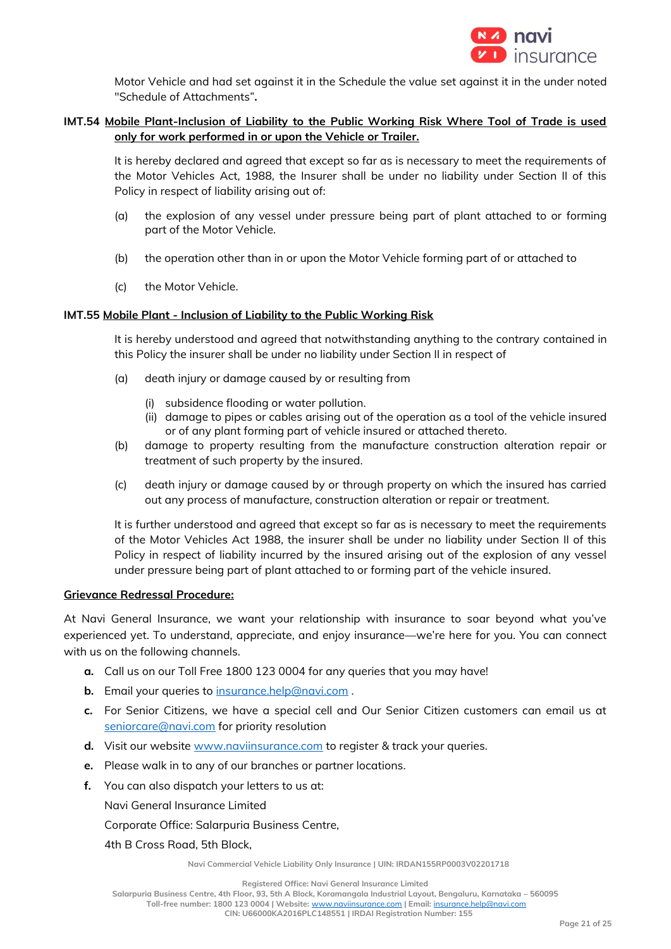

Motor Vehicle and had set against it in the Schedule the value set against it in the under noted "Schedule of Attachments"**.**

# **IMT.54 Mobile Plant-Inclusion of Liability to the Public Working Risk Where Tool of Trade is used only for work performed in or upon the Vehicle or Trailer.**

It is hereby declared and agreed that except so far as is necessary to meet the requirements of the Motor Vehicles Act, 1988, the Insurer shall be under no liability under Section II of this Policy in respect of liability arising out of:

- (a) the explosion of any vessel under pressure being part of plant attached to or forming part of the Motor Vehicle.
- (b) the operation other than in or upon the Motor Vehicle forming part of or attached to
- (c) the Motor Vehicle.

## **IMT.55 Mobile Plant - Inclusion of Liability to the Public Working Risk**

It is hereby understood and agreed that notwithstanding anything to the contrary contained in this Policy the insurer shall be under no liability under Section II in respect of

- (a) death injury or damage caused by or resulting from
	- (i) subsidence flooding or water pollution.
	- (ii) damage to pipes or cables arising out of the operation as a tool of the vehicle insured or of any plant forming part of vehicle insured or attached thereto.
- (b) damage to property resulting from the manufacture construction alteration repair or treatment of such property by the insured.
- (c) death injury or damage caused by or through property on which the insured has carried out any process of manufacture, construction alteration or repair or treatment.

It is further understood and agreed that except so far as is necessary to meet the requirements of the Motor Vehicles Act 1988, the insurer shall be under no liability under Section II of this Policy in respect of liability incurred by the insured arising out of the explosion of any vessel under pressure being part of plant attached to or forming part of the vehicle insured.

## **Grievance Redressal Procedure:**

At Navi General Insurance, we want your relationship with insurance to soar beyond what you've experienced yet. To understand, appreciate, and enjoy insurance—we're here for you. You can connect with us on the following channels.

- **a.** Call us on our Toll Free 1800 123 0004 for any queries that you may have!
- **b.** Email your queries to [insurance.help@navi.com](mailto:insurance.help@navi.com).
- **c.** For Senior Citizens, we have a special cell and Our Senior Citizen customers can email us at [seniorcare@navi.com](mailto:seniorcare@navi.com) for priority resolution
- **d.** Visit our website [www.naviinsurance.com](http://www.naviinsurance.com/) to register & track your queries.
- **e.** Please walk in to any of our branches or partner locations.
- **f.** You can also dispatch your letters to us at:

Navi General Insurance Limited

Corporate Office: Salarpuria Business Centre,

4th B Cross Road, 5th Block,

**Navi Commercial Vehicle Liability Only Insurance | UIN: IRDAN155RP0003V02201718**

**Registered Office: Navi General Insurance Limited**

**Salarpuria Business Centre, 4th Floor, 93, 5th A Block, Koramangala Industrial Layout, Bengaluru, Karnataka – 560095**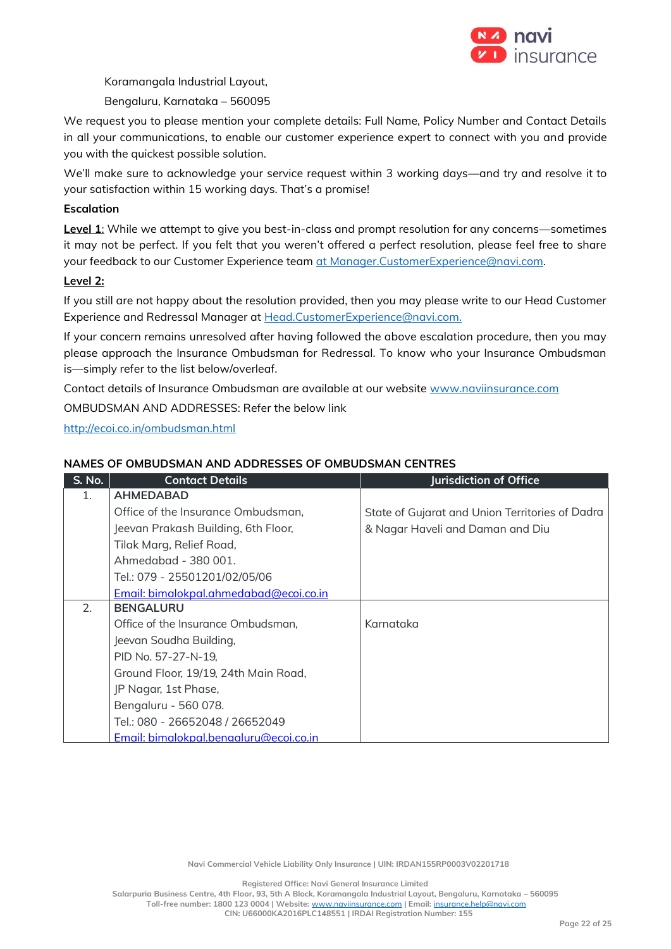

Koramangala Industrial Layout,

Bengaluru, Karnataka – 560095

We request you to please mention your complete details: Full Name, Policy Number and Contact Details in all your communications, to enable our customer experience expert to connect with you and provide you with the quickest possible solution.

We'll make sure to acknowledge your service request within 3 working days—and try and resolve it to your satisfaction within 15 working days. That's a promise!

# **Escalation**

**Level 1**: While we attempt to give you best-in-class and prompt resolution for any concerns—sometimes it may not be perfect. If you felt that you weren't offered a perfect resolution, please feel free to share your feedback to our Customer Experience team [at Manager.CustomerExperience@navi.com.](mailto:at%20Manager.CustomerExperience@navi.com)

## **Level 2:**

If you still are not happy about the resolution provided, then you may please write to our Head Customer Experience and Redressal Manager at [Head.CustomerExperience@navi.com.](mailto:Head.CustomerExperience@navi.com.) 

If your concern remains unresolved after having followed the above escalation procedure, then you may please approach the Insurance Ombudsman for Redressal. To know who your Insurance Ombudsman is—simply refer to the list below/overleaf.

Contact details of Insurance Ombudsman are available at our website [www.naviinsurance.com](http://www.naviinsurance.com/)

OMBUDSMAN AND ADDRESSES: Refer the below link

<http://ecoi.co.in/ombudsman.html>

## **NAMES OF OMBUDSMAN AND ADDRESSES OF OMBUDSMAN CENTRES**

| <b>S. No.</b> | <b>Contact Details</b>                 | <b>Jurisdiction of Office</b>                   |
|---------------|----------------------------------------|-------------------------------------------------|
| 1.            | <b>AHMEDABAD</b>                       |                                                 |
|               | Office of the Insurance Ombudsman,     | State of Gujarat and Union Territories of Dadra |
|               | Jeevan Prakash Building, 6th Floor,    | & Nagar Haveli and Daman and Diu                |
|               | Tilak Marg, Relief Road,               |                                                 |
|               | Ahmedabad - 380 001.                   |                                                 |
|               | Tel.: 079 - 25501201/02/05/06          |                                                 |
|               | Email: bimalokpal.ahmedabad@ecoi.co.in |                                                 |
| 2.            | <b>BENGALURU</b>                       |                                                 |
|               | Office of the Insurance Ombudsman,     | Karnataka                                       |
|               | Jeevan Soudha Building,                |                                                 |
|               | PID No. 57-27-N-19,                    |                                                 |
|               | Ground Floor, 19/19, 24th Main Road,   |                                                 |
|               | JP Nagar, 1st Phase,                   |                                                 |
|               | Bengaluru - 560 078.                   |                                                 |
|               | Tel.: 080 - 26652048 / 26652049        |                                                 |
|               | Email: bimalokpal.bengaluru@ecoi.co.in |                                                 |

**Navi Commercial Vehicle Liability Only Insurance | UIN: IRDAN155RP0003V02201718**

**Registered Office: Navi General Insurance Limited**

**Salarpuria Business Centre, 4th Floor, 93, 5th A Block, Koramangala Industrial Layout, Bengaluru, Karnataka – 560095**

**Toll-free number: 1800 123 0004 | Website:** [www.naviinsurance.com](http://www.naviinsurance.com/) **| Email:** [insurance.help@navi.com](mailto:insurance.help@navi.com) **CIN: U66000KA2016PLC148551 | IRDAI Registration Number: 155**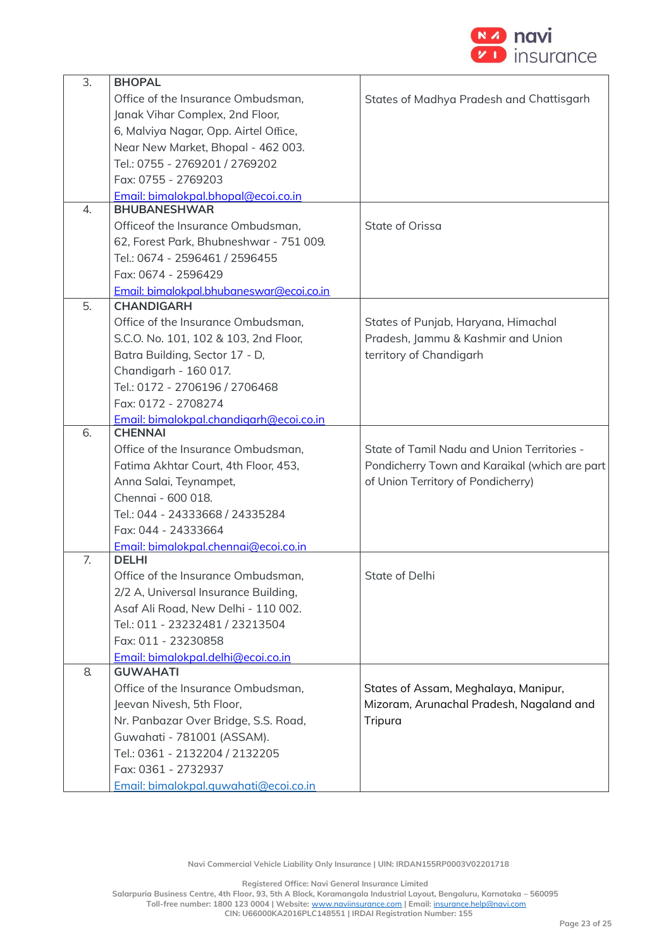

| 3. | <b>BHOPAL</b>                            |                                               |
|----|------------------------------------------|-----------------------------------------------|
|    | Office of the Insurance Ombudsman,       | States of Madhya Pradesh and Chattisgarh      |
|    | Janak Vihar Complex, 2nd Floor,          |                                               |
|    | 6, Malviya Nagar, Opp. Airtel Office,    |                                               |
|    | Near New Market, Bhopal - 462 003.       |                                               |
|    | Tel.: 0755 - 2769201 / 2769202           |                                               |
|    | Fax: 0755 - 2769203                      |                                               |
|    | Email: bimalokpal.bhopal@ecoi.co.in      |                                               |
| 4. | <b>BHUBANESHWAR</b>                      |                                               |
|    | Officeof the Insurance Ombudsman,        | State of Orissa                               |
|    | 62, Forest Park, Bhubneshwar - 751 009.  |                                               |
|    | Tel.: 0674 - 2596461 / 2596455           |                                               |
|    | Fax: 0674 - 2596429                      |                                               |
|    | Email: bimalokpal.bhubaneswar@ecoi.co.in |                                               |
| 5. | <b>CHANDIGARH</b>                        |                                               |
|    | Office of the Insurance Ombudsman,       | States of Punjab, Haryana, Himachal           |
|    | S.C.O. No. 101, 102 & 103, 2nd Floor,    | Pradesh, Jammu & Kashmir and Union            |
|    | Batra Building, Sector 17 - D,           | territory of Chandigarh                       |
|    | Chandigarh - 160 017.                    |                                               |
|    | Tel.: 0172 - 2706196 / 2706468           |                                               |
|    | Fax: 0172 - 2708274                      |                                               |
|    | Email: bimalokpal.chandigarh@ecoi.co.in  |                                               |
| 6. | <b>CHENNAI</b>                           |                                               |
|    | Office of the Insurance Ombudsman,       | State of Tamil Nadu and Union Territories -   |
|    | Fatima Akhtar Court, 4th Floor, 453,     | Pondicherry Town and Karaikal (which are part |
|    | Anna Salai, Teynampet,                   | of Union Territory of Pondicherry)            |
|    | Chennai - 600 018.                       |                                               |
|    | Tel.: 044 - 24333668 / 24335284          |                                               |
|    | Fax: 044 - 24333664                      |                                               |
|    | Email: bimalokpal.chennai@ecoi.co.in     |                                               |
| 7. | <b>DELHI</b>                             |                                               |
|    | Office of the Insurance Ombudsman,       | State of Delhi                                |
|    | 2/2 A, Universal Insurance Building,     |                                               |
|    | Asaf Ali Road, New Delhi - 110 002.      |                                               |
|    | Tel.: 011 - 23232481 / 23213504          |                                               |
|    | Fax: 011 - 23230858                      |                                               |
|    | Email: bimalokpal.delhi@ecoi.co.in       |                                               |
| 8. | <b>GUWAHATI</b>                          |                                               |
|    | Office of the Insurance Ombudsman,       | States of Assam, Meghalaya, Manipur,          |
|    | Jeevan Nivesh, 5th Floor,                | Mizoram, Arunachal Pradesh, Nagaland and      |
|    | Nr. Panbazar Over Bridge, S.S. Road,     | Tripura                                       |
|    | Guwahati - 781001 (ASSAM).               |                                               |
|    | Tel.: 0361 - 2132204 / 2132205           |                                               |
|    | Fax: 0361 - 2732937                      |                                               |
|    | Email: bimalokpal.quwahati@ecoi.co.in    |                                               |

**Registered Office: Navi General Insurance Limited**

**Salarpuria Business Centre, 4th Floor, 93, 5th A Block, Koramangala Industrial Layout, Bengaluru, Karnataka – 560095**

**Toll-free number: 1800 123 0004 | Website:** [www.naviinsurance.com](http://www.naviinsurance.com/) **| Email:** [insurance.help@navi.com](mailto:insurance.help@navi.com)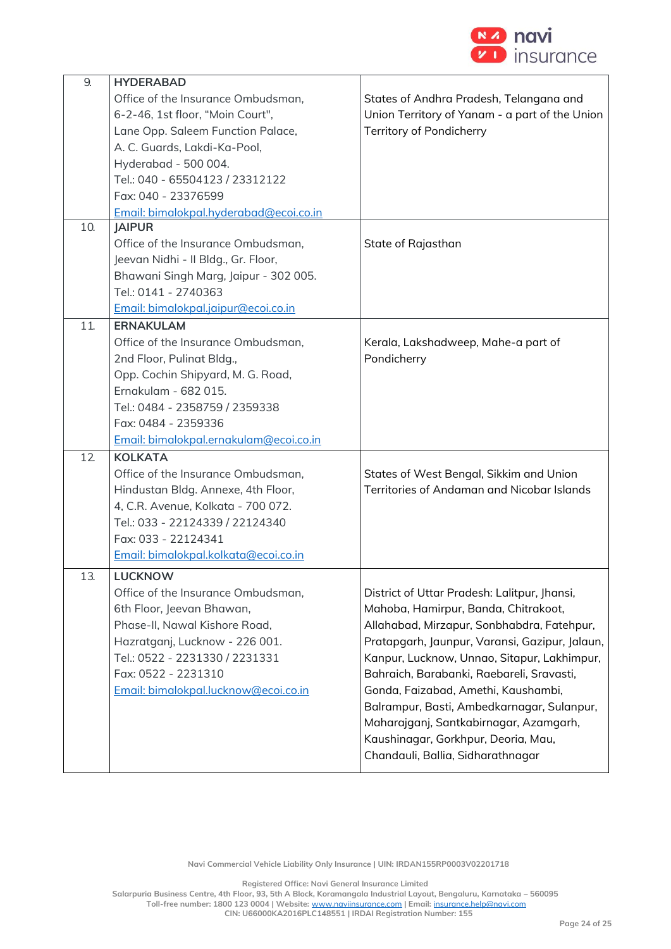

| 9.  | <b>HYDERABAD</b>                       |                                                |
|-----|----------------------------------------|------------------------------------------------|
|     | Office of the Insurance Ombudsman,     | States of Andhra Pradesh, Telangana and        |
|     | 6-2-46, 1st floor, "Moin Court",       | Union Territory of Yanam - a part of the Union |
|     | Lane Opp. Saleem Function Palace,      | Territory of Pondicherry                       |
|     | A. C. Guards, Lakdi-Ka-Pool,           |                                                |
|     | Hyderabad - 500 004.                   |                                                |
|     | Tel.: 040 - 65504123 / 23312122        |                                                |
|     | Fax: 040 - 23376599                    |                                                |
|     | Email: bimalokpal.hyderabad@ecoi.co.in |                                                |
| 10. | <b>JAIPUR</b>                          |                                                |
|     | Office of the Insurance Ombudsman,     | State of Rajasthan                             |
|     | Jeevan Nidhi - Il Bldg., Gr. Floor,    |                                                |
|     | Bhawani Singh Marg, Jaipur - 302 005.  |                                                |
|     | Tel.: 0141 - 2740363                   |                                                |
|     | Email: bimalokpal.jaipur@ecoi.co.in    |                                                |
| 11. | <b>ERNAKULAM</b>                       |                                                |
|     | Office of the Insurance Ombudsman,     | Kerala, Lakshadweep, Mahe-a part of            |
|     | 2nd Floor, Pulinat Bldg.,              | Pondicherry                                    |
|     | Opp. Cochin Shipyard, M. G. Road,      |                                                |
|     | Ernakulam - 682 015.                   |                                                |
|     | Tel.: 0484 - 2358759 / 2359338         |                                                |
|     | Fax: 0484 - 2359336                    |                                                |
|     | Email: bimalokpal.ernakulam@ecoi.co.in |                                                |
| 12  | <b>KOLKATA</b>                         |                                                |
|     | Office of the Insurance Ombudsman,     | States of West Bengal, Sikkim and Union        |
|     | Hindustan Bldg. Annexe, 4th Floor,     | Territories of Andaman and Nicobar Islands     |
|     | 4, C.R. Avenue, Kolkata - 700 072.     |                                                |
|     | Tel.: 033 - 22124339 / 22124340        |                                                |
|     | Fax: 033 - 22124341                    |                                                |
|     | Email: bimalokpal.kolkata@ecoi.co.in   |                                                |
| 13. | LUCKNOW                                |                                                |
|     | Office of the Insurance Ombudsman,     | District of Uttar Pradesh: Lalitpur, Jhansi,   |
|     | 6th Floor, Jeevan Bhawan,              | Mahoba, Hamirpur, Banda, Chitrakoot,           |
|     | Phase-II, Nawal Kishore Road,          | Allahabad, Mirzapur, Sonbhabdra, Fatehpur,     |
|     | Hazratganj, Lucknow - 226 001.         | Pratapgarh, Jaunpur, Varansi, Gazipur, Jalaun, |
|     | Tel.: 0522 - 2231330 / 2231331         | Kanpur, Lucknow, Unnao, Sitapur, Lakhimpur,    |
|     | Fax: 0522 - 2231310                    | Bahraich, Barabanki, Raebareli, Sravasti,      |
|     | Email: bimalokpal.lucknow@ecoi.co.in   | Gonda, Faizabad, Amethi, Kaushambi,            |
|     |                                        | Balrampur, Basti, Ambedkarnagar, Sulanpur,     |
|     |                                        | Maharajganj, Santkabirnagar, Azamgarh,         |
|     |                                        | Kaushinagar, Gorkhpur, Deoria, Mau,            |
|     |                                        | Chandauli, Ballia, Sidharathnagar              |

**Navi Commercial Vehicle Liability Only Insurance | UIN: IRDAN155RP0003V02201718**

**Registered Office: Navi General Insurance Limited**

**Salarpuria Business Centre, 4th Floor, 93, 5th A Block, Koramangala Industrial Layout, Bengaluru, Karnataka – 560095**

**Toll-free number: 1800 123 0004 | Website:** [www.naviinsurance.com](http://www.naviinsurance.com/) **| Email:** [insurance.help@navi.com](mailto:insurance.help@navi.com)